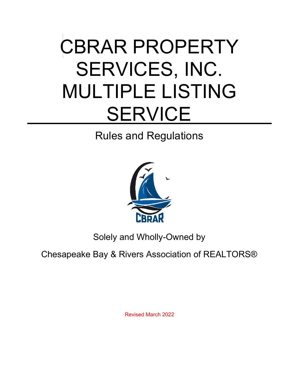# CBRAR PROPERTY SERVICES, INC. MULTIPLE LISTING **SERVICE**<br>Rules and Regulations



Solely and Wholly-Owned by

Chesapeake Bay & Rivers Association of REALTORS®

Revised March 2022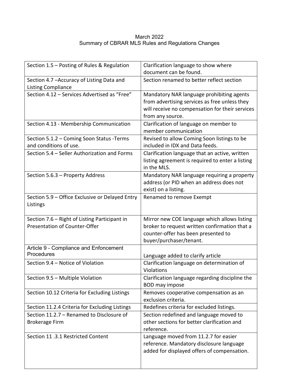#### March 2022 Summary of CBRAR MLS Rules and Regulations Changes

| Section 1.5 - Posting of Rules & Regulation                                    | Clarification language to show where                                                                                                                              |
|--------------------------------------------------------------------------------|-------------------------------------------------------------------------------------------------------------------------------------------------------------------|
|                                                                                | document can be found.                                                                                                                                            |
| Section 4.7 - Accuracy of Listing Data and<br><b>Listing Compliance</b>        | Section renamed to better reflect section                                                                                                                         |
| Section 4.12 - Services Advertised as "Free"                                   | Mandatory NAR language prohibiting agents<br>from advertising services as free unless they<br>will receive no compensation for their services<br>from any source. |
| Section 4.13 - Membership Communication                                        | Clarification of language on member to<br>member communication                                                                                                    |
| Section 5.1.2 - Coming Soon Status - Terms<br>and conditions of use.           | Revised to allow Coming Soon listings to be<br>included in IDX and Data feeds.                                                                                    |
| Section 5.4 - Seller Authorization and Forms                                   | Clarification language that an active, written<br>listing agreement is required to enter a listing<br>in the MLS.                                                 |
| Section 5.6.3 - Property Address                                               | Mandatory NAR language requiring a property<br>address (or PID when an address does not<br>exist) on a listing.                                                   |
| Section 5.9 - Office Exclusive or Delayed Entry<br>Listings                    | Renamed to remove Exempt                                                                                                                                          |
| Section 7.6 - Right of Listing Participant in<br>Presentation of Counter-Offer | Mirror new COE language which allows listing<br>broker to request written confirmation that a<br>counter-offer has been presented to<br>buyer/purchaser/tenant.   |
| Article 9 - Compliance and Enfoncement<br>Procedures                           | Language added to clarify article                                                                                                                                 |
| Section 9.4 - Notice of Violation                                              | Clarification language on determination of<br>Violations                                                                                                          |
| Section 9.5 - Multiple Violation                                               | Clarification language regarding discipline the<br>BOD may impose                                                                                                 |
| Section 10.12 Criteria for Excluding Listings                                  | Removes cooperative compensation as an<br>exclusion criteria.                                                                                                     |
| Section 11.2.4 Criteria for Excluding Listings                                 | Redefines criteria for excluded listings.                                                                                                                         |
| Section 11.2.7 - Renamed to Disclosure of<br><b>Brokerage Firm</b>             | Section redefined and language moved to<br>other sections for better clarification and<br>reference.                                                              |
| Section 11 .3.1 Restricted Content                                             | Language moved from 11.2.7 for easier<br>reference. Mandatory disclosure language<br>added for displayed offers of compensation.                                  |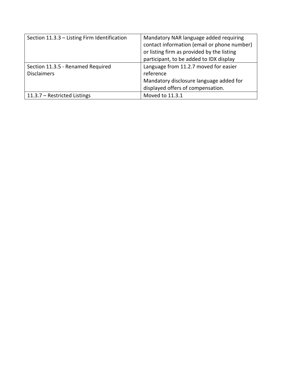| Section 11.3.3 - Listing Firm Identification | Mandatory NAR language added requiring<br>contact information (email or phone number)<br>or listing firm as provided by the listing |
|----------------------------------------------|-------------------------------------------------------------------------------------------------------------------------------------|
|                                              | participant, to be added to IDX display                                                                                             |
| Section 11.3.5 - Renamed Required            | Language from 11.2.7 moved for easier                                                                                               |
| <b>Disclaimers</b>                           | reference                                                                                                                           |
|                                              | Mandatory disclosure language added for                                                                                             |
|                                              | displayed offers of compensation.                                                                                                   |
| 11.3.7 - Restricted Listings                 | Moved to 11.3.1                                                                                                                     |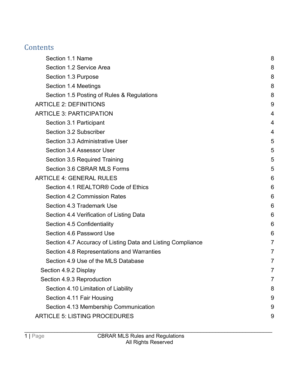# **Contents**

| Section 1.1 Name                                            | 8 |
|-------------------------------------------------------------|---|
| Section 1.2 Service Area                                    | 8 |
| Section 1.3 Purpose                                         | 8 |
| Section 1.4 Meetings                                        | 8 |
| Section 1.5 Posting of Rules & Regulations                  | 8 |
| <b>ARTICLE 2: DEFINITIONS</b>                               | 9 |
| <b>ARTICLE 3: PARTICIPATION</b>                             | 4 |
| Section 3.1 Participant                                     | 4 |
| Section 3.2 Subscriber                                      | 4 |
| Section 3.3 Administrative User                             | 5 |
| Section 3.4 Assessor User                                   | 5 |
| Section 3.5 Required Training                               | 5 |
| Section 3.6 CBRAR MLS Forms                                 | 5 |
| <b>ARTICLE 4: GENERAL RULES</b>                             | 6 |
| Section 4.1 REALTOR® Code of Ethics                         | 6 |
| <b>Section 4.2 Commission Rates</b>                         | 6 |
| Section 4.3 Trademark Use                                   | 6 |
| Section 4.4 Verification of Listing Data                    | 6 |
| Section 4.5 Confidentiality                                 | 6 |
| Section 4.6 Password Use                                    | 6 |
| Section 4.7 Accuracy of Listing Data and Listing Compliance | 7 |
| Section 4.8 Representations and Warranties                  | 7 |
| Section 4.9 Use of the MLS Database                         | 7 |
| Section 4.9.2 Display                                       | 7 |
| Section 4.9.3 Reproduction                                  | 7 |
| Section 4.10 Limitation of Liability                        | 8 |
| Section 4.11 Fair Housing                                   | 9 |
| Section 4.13 Membership Communication                       | 9 |
| <b>ARTICLE 5: LISTING PROCEDURES</b>                        | 9 |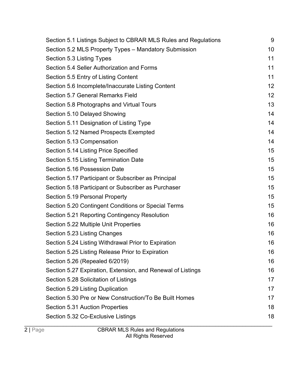| Section 5.1 Listings Subject to CBRAR MLS Rules and Regulations | 9  |
|-----------------------------------------------------------------|----|
| Section 5.2 MLS Property Types - Mandatory Submission           | 10 |
| Section 5.3 Listing Types                                       | 11 |
| Section 5.4 Seller Authorization and Forms                      | 11 |
| Section 5.5 Entry of Listing Content                            | 11 |
| Section 5.6 Incomplete/Inaccurate Listing Content               | 12 |
| Section 5.7 General Remarks Field                               | 12 |
| Section 5.8 Photographs and Virtual Tours                       | 13 |
| Section 5.10 Delayed Showing                                    | 14 |
| Section 5.11 Designation of Listing Type                        | 14 |
| Section 5.12 Named Prospects Exempted                           | 14 |
| Section 5.13 Compensation                                       | 14 |
| Section 5.14 Listing Price Specified                            | 15 |
| Section 5.15 Listing Termination Date                           | 15 |
| Section 5.16 Possession Date                                    | 15 |
| Section 5.17 Participant or Subscriber as Principal             | 15 |
| Section 5.18 Participant or Subscriber as Purchaser             | 15 |
| Section 5.19 Personal Property                                  | 15 |
| Section 5.20 Contingent Conditions or Special Terms             | 15 |
| Section 5.21 Reporting Contingency Resolution                   | 16 |
| Section 5.22 Multiple Unit Properties                           | 16 |
| Section 5.23 Listing Changes                                    | 16 |
| Section 5.24 Listing Withdrawal Prior to Expiration             | 16 |
| Section 5.25 Listing Release Prior to Expiration                | 16 |
| Section 5.26 (Repealed 6/2019)                                  | 16 |
| Section 5.27 Expiration, Extension, and Renewal of Listings     | 16 |
| Section 5.28 Solicitation of Listings                           | 17 |
| Section 5.29 Listing Duplication                                | 17 |
| Section 5.30 Pre or New Construction/To Be Built Homes          | 17 |
| Section 5.31 Auction Properties                                 | 18 |
| Section 5.32 Co-Exclusive Listings                              | 18 |
|                                                                 |    |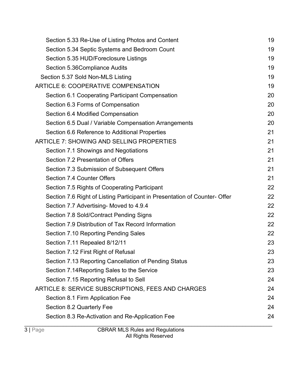| Section 5.33 Re-Use of Listing Photos and Content                         | 19 |
|---------------------------------------------------------------------------|----|
| Section 5.34 Septic Systems and Bedroom Count                             | 19 |
| Section 5.35 HUD/Foreclosure Listings                                     | 19 |
| Section 5.36Compliance Audits                                             | 19 |
| Section 5.37 Sold Non-MLS Listing                                         | 19 |
| ARTICLE 6: COOPERATIVE COMPENSATION                                       | 19 |
| Section 6.1 Cooperating Participant Compensation                          | 20 |
| Section 6.3 Forms of Compensation                                         | 20 |
| Section 6.4 Modified Compensation                                         | 20 |
| Section 6.5 Dual / Variable Compensation Arrangements                     | 20 |
| Section 6.6 Reference to Additional Properties                            | 21 |
| <b>ARTICLE 7: SHOWING AND SELLING PROPERTIES</b>                          | 21 |
| Section 7.1 Showings and Negotiations                                     | 21 |
| Section 7.2 Presentation of Offers                                        | 21 |
| Section 7.3 Submission of Subsequent Offers                               | 21 |
| Section 7.4 Counter Offers                                                | 21 |
| Section 7.5 Rights of Cooperating Participant                             | 22 |
| Section 7.6 Right of Listing Participant in Presentation of Counter-Offer | 22 |
| Section 7.7 Advertising- Moved to 4.9.4                                   | 22 |
| Section 7.8 Sold/Contract Pending Signs                                   | 22 |
| Section 7.9 Distribution of Tax Record Information                        | 22 |
| Section 7.10 Reporting Pending Sales                                      | 22 |
| Section 7.11 Repealed 8/12/11                                             | 23 |
| Section 7.12 First Right of Refusal                                       | 23 |
| Section 7.13 Reporting Cancellation of Pending Status                     | 23 |
| Section 7.14 Reporting Sales to the Service                               | 23 |
| Section 7.15 Reporting Refusal to Sell                                    | 24 |
| ARTICLE 8: SERVICE SUBSCRIPTIONS, FEES AND CHARGES                        | 24 |
| Section 8.1 Firm Application Fee                                          | 24 |
| Section 8.2 Quarterly Fee                                                 | 24 |
| Section 8.3 Re-Activation and Re-Application Fee                          | 24 |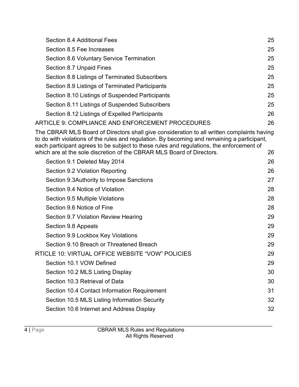| Section 8.4 Additional Fees                      | 25 |
|--------------------------------------------------|----|
| Section 8.5 Fee Increases                        | 25 |
| Section 8.6 Voluntary Service Termination        | 25 |
| Section 8.7 Unpaid Fines                         | 25 |
| Section 8.8 Listings of Terminated Subscribers   | 25 |
| Section 8.9 Listings of Terminated Participants  | 25 |
| Section 8.10 Listings of Suspended Participants  | 25 |
| Section 8.11 Listings of Suspended Subscribers   | 25 |
| Section 8.12 Listings of Expelled Participants   | 26 |
| ARTICLE 9: COMPLIANCE AND ENFORCEMENT PROCEDURES | 26 |

[The CBRAR MLS Board of Directors shall give consideration to all written complaints having](#page-39-1)  [to do with violations of the rules and regulation. By becoming and remaining a participant,](#page-39-1)  [each participant agrees to be subject to these rules and regulations, the enforcement of](#page-39-1)  [which are at the sole discretion of the CBRAR MLS Board of Directors.](#page-39-1) 26

| Section 9.1 Deleted May 2014                     | 26 |
|--------------------------------------------------|----|
| Section 9.2 Violation Reporting                  | 26 |
| Section 9.3 Authority to Impose Sanctions        | 27 |
| Section 9.4 Notice of Violation                  | 28 |
| Section 9.5 Multiple Violations                  | 28 |
| Section 9.6 Notice of Fine                       | 28 |
| Section 9.7 Violation Review Hearing             | 29 |
| Section 9.8 Appeals                              | 29 |
| Section 9.9 Lockbox Key Violations               | 29 |
| Section 9.10 Breach or Threatened Breach         | 29 |
| RTICLE 10: VIRTUAL OFFICE WEBSITE "VOW" POLICIES | 29 |
| Section 10.1 VOW Defined                         | 29 |
| Section 10.2 MLS Listing Display                 | 30 |
| Section 10.3 Retrieval of Data                   | 30 |
| Section 10.4 Contact Information Requirement     | 31 |
| Section 10.5 MLS Listing Information Security    | 32 |
| Section 10.6 Internet and Address Display        | 32 |
|                                                  |    |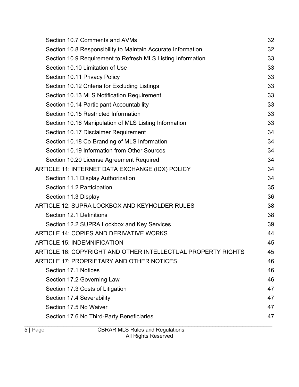| Section 10.7 Comments and AVMs                               | 32 |
|--------------------------------------------------------------|----|
| Section 10.8 Responsibility to Maintain Accurate Information | 32 |
| Section 10.9 Requirement to Refresh MLS Listing Information  | 33 |
| Section 10.10 Limitation of Use                              | 33 |
| Section 10.11 Privacy Policy                                 | 33 |
| Section 10.12 Criteria for Excluding Listings                | 33 |
| Section 10.13 MLS Notification Requirement                   | 33 |
| Section 10.14 Participant Accountability                     | 33 |
| Section 10.15 Restricted Information                         | 33 |
| Section 10.16 Manipulation of MLS Listing Information        | 33 |
| Section 10.17 Disclaimer Requirement                         | 34 |
| Section 10.18 Co-Branding of MLS Information                 | 34 |
| Section 10.19 Information from Other Sources                 | 34 |
| Section 10.20 License Agreement Required                     | 34 |
| ARTICLE 11: INTERNET DATA EXCHANGE (IDX) POLICY              | 34 |
| Section 11.1 Display Authorization                           | 34 |
| Section 11.2 Participation                                   | 35 |
| Section 11.3 Display                                         | 36 |
| ARTICLE 12: SUPRA LOCKBOX AND KEYHOLDER RULES                | 38 |
| Section 12.1 Definitions                                     | 38 |
| Section 12.2 SUPRA Lockbox and Key Services                  | 39 |
| <b>ARTICLE 14: COPIES AND DERIVATIVE WORKS</b>               | 44 |
| <b>ARTICLE 15: INDEMNIFICATION</b>                           | 45 |
| ARTICLE 16: COPYRIGHT AND OTHER INTELLECTUAL PROPERTY RIGHTS | 45 |
| ARTICLE 17: PROPRIETARY AND OTHER NOTICES                    | 46 |
| Section 17.1 Notices                                         | 46 |
| Section 17.2 Governing Law                                   | 46 |
| Section 17.3 Costs of Litigation                             | 47 |
| Section 17.4 Severability                                    | 47 |
| Section 17.5 No Waiver                                       | 47 |
| Section 17.6 No Third-Party Beneficiaries                    | 47 |
|                                                              |    |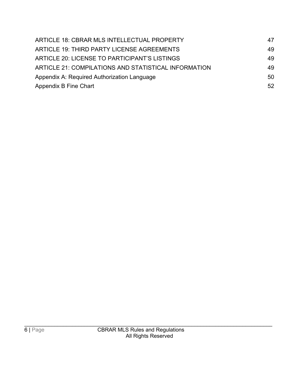| ARTICLE 18: CBRAR MLS INTELLECTUAL PROPERTY          | 47 |
|------------------------------------------------------|----|
| ARTICLE 19: THIRD PARTY LICENSE AGREEMENTS           | 49 |
| ARTICLE 20: LICENSE TO PARTICIPANT'S LISTINGS        | 49 |
| ARTICLE 21: COMPILATIONS AND STATISTICAL INFORMATION | 49 |
| Appendix A: Required Authorization Language          | 50 |
| Appendix B Fine Chart                                | 52 |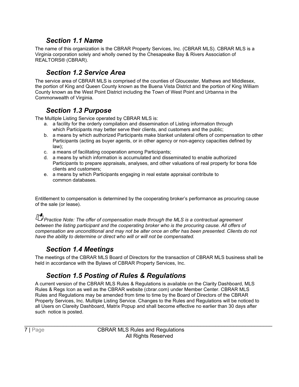#### *Section 1.1 Name*

<span id="page-10-0"></span>The name of this organization is the CBRAR Property Services, Inc. (CBRAR MLS). CBRAR MLS is a Virginia corporation solely and wholly owned by the Chesapeake Bay & Rivers Association of REALTORS® (CBRAR).

#### *Section 1.2 Service Area*

<span id="page-10-1"></span>The service area of CBRAR MLS is comprised of the counties of Gloucester, Mathews and Middlesex, the portion of King and Queen County known as the Buena Vista District and the portion of King William County known as the West Point District including the Town of West Point and Urbanna in the Commonwealth of Virginia.

#### *Section 1.3 Purpose*

<span id="page-10-2"></span>The Multiple Listing Service operated by CBRAR MLS is:

- a. a facility for the orderly compilation and dissemination of Listing information through which Participants may better serve their clients, and customers and the public;
- b. a means by which authorized Participants make blanket unilateral offers of compensation to other Participants (acting as buyer agents, or in other agency or non-agency capacities defined by law);
- c. a means of facilitating cooperation among Participants;
- d. a means by which information is accumulated and disseminated to enable authorized Participants to prepare appraisals, analyses, and other valuations of real property for bona fide clients and customers;
- e. a means by which Participants engaging in real estate appraisal contribute to common databases.

Entitlement to compensation is determined by the cooperating broker's performance as procuring cause of the sale (or lease).

*PP Practice Note: The offer of compensation made through the MLS is a contractual agreement between the listing participant and the cooperating broker who is the procuring cause. All offers of compensation are unconditional and may not be alter once an offer has been presented. Clients do not have the ability to determine or direct who will or will not be compensated.*

#### *Section 1.4 Meetings*

<span id="page-10-3"></span>The meetings of the CBRAR MLS Board of Directors for the transaction of CBRAR MLS business shall be held in accordance with the Bylaws of CBRAR Property Services, Inc.

#### *Section 1.5 Posting of Rules & Regulations*

<span id="page-10-4"></span>A current version of the CBRAR MLS Rules & Regulations is available on the Clarity Dashboard, MLS Rules & Regs Icon as well as the CBRAR website (cbrar.com) under Member Center. CBRAR MLS Rules and Regulations may be amended from time to time by the Board of Directors of the CBRAR Property Services, Inc. Multiple Listing Service. Changes to the Rules and Regulations will be noticed to all Users on Clareity Dashboard, Matrix Popup and shall become effective no earlier than 30 days after such notice is posted.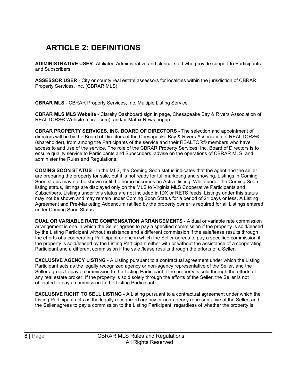# <span id="page-11-0"></span>**ARTICLE 2: DEFINITIONS**

**ADIMINISTRATIVE USER**- Affiliated Administrative and clerical staff who provide support to Participants and Subscribers.

**ASSESSOR USER** - City or county real estate assessors for localities within the jurisdiction of CBRAR Property Services, Inc. (CBRAR MLS)

**CBRAR MLS** - CBRAR Property Services, Inc. Multiple Listing Service.

**CBRAR MLS MLS Website** - Clareity Dashboard sign in page, Chesapeake Bay & Rivers Association of REALTORS® Website (cbrar.com), and/or Matrix News popup.

**CBRAR PROPERTY SERVICES, INC. BOARD OF DIRECTORS** - The selection and appointment of directors will be by the Board of Directors of the Chesapeake Bay & Rivers Association of REALTORS® (shareholder), from among the Participants of the service and their REALTOR® members who have access to and use of the service. The role of the CBRAR Property Services, Inc. Board of Directors is to ensure quality service to Participants and Subscribers, advise on the operations of CBRAR MLS, and administer the Rules and Regulations.

**COMING SOON STATUS** *-* In the MLS, the Coming Soon status indicates that the agent and the seller are preparing the property for sale, but it is not ready for full marketing and showing. Listings in Coming Soon status may not be shown until the home becomes an Active listing. While under the Coming Soon listing status, listings are displayed only on the MLS to Virginia MLS Cooperative Participants and Subscribers. Listings under this status are not included in IDX or RETS feeds. Listings under this status may not be shown and may remain under Coming Soon Status for a period of 21 days or less. A Listing Agreement and Pre-Marketing Addendum ratified by the property owner is required for all Listings entered under Coming Soon Status.

**DUAL OR VARIABLE RATE COMPENSATION ARRANGEMENTS** - A dual or variable rate commission arrangement is one in which the Seller agrees to pay a specified commission if the property is sold/leased by the Listing Participant without assistance and a different commission if the sale/lease results through the efforts of a cooperating Participant or one in which the Seller agrees to pay a specified commission if the property is sold/leased by the Listing Participant either with or without the assistance of a cooperating Participant and a different commission if the sale /lease results through the efforts of a Seller.

**EXCLUSIVE AGENCY LISTING** - A Listing pursuant to a contractual agreement under which the Listing Participant acts as the legally recognized agency or non-agency representative of the Seller, and the Seller agrees to pay a commission to the Listing Participant if the property is sold through the efforts of any real estate broker. If the property is sold solely through the efforts of the Seller, the Seller is not obligated to pay a commission to the Listing Participant.

**EXCLUSIVE RIGHT TO SELL LISTING** - A Listing pursuant to a contractual agreement under which the Listing Participant acts as the legally recognized agency or non-agency representative of the Seller, and the Seller agrees to pay a commission to the Listing Participant, regardless of whether the property is

\_\_\_\_\_\_\_\_\_\_\_\_\_\_\_\_\_\_\_\_\_\_\_\_\_\_\_\_\_\_\_\_\_\_\_\_\_\_\_\_\_\_\_\_\_\_\_\_\_\_\_\_\_\_\_\_\_\_\_\_\_\_\_\_\_\_\_\_\_\_\_\_\_\_\_\_\_\_\_\_\_\_\_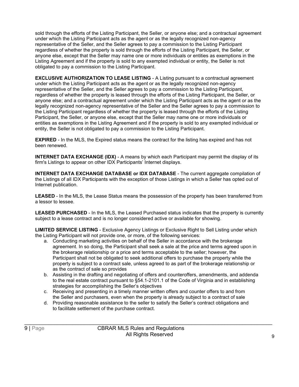sold through the efforts of the Listing Participant, the Seller, or anyone else; and a contractual agreement under which the Listing Participant acts as the agent or as the legally recognized non-agency representative of the Seller, and the Seller agrees to pay a commission to the Listing Participant regardless of whether the property is sold through the efforts of the Listing Participant, the Seller, or anyone else, except that the Seller may name one or more individuals or entities as exemptions in the Listing Agreement and if the property is sold to any exempted individual or entity, the Seller is not obligated to pay a commission to the Listing Participant.

**EXCLUSIVE AUTHORIZATION TO LEASE LISTING** - A Listing pursuant to a contractual agreement under which the Listing Participant acts as the agent or as the legally recognized non-agency representative of the Seller, and the Seller agrees to pay a commission to the Listing Participant, regardless of whether the property is leased through the efforts of the Listing Participant, the Seller, or anyone else; and a contractual agreement under which the Listing Participant acts as the agent or as the legally recognized non-agency representative of the Seller and the Seller agrees to pay a commission to the Listing Participant regardless of whether the property is leased through the efforts of the Listing Participant, the Seller, or anyone else, except that the Seller may name one or more individuals or entities as exemptions in the Listing Agreement and if the property is sold to any exempted individual or entity, the Seller is not obligated to pay a commission to the Listing Participant.

**EXPIRED** - In the MLS, the Expired status means the contract for the listing has expired and has not been renewed.

**INTERNET DATA EXCHANGE (IDX)** - A means by which each Participant may permit the display of its firm's Listings to appear on other IDX Participants' Internet displays.

**INTERNET DATA EXCHANGE DATABASE or IDX DATABASE** - The current aggregate compilation of the Listings of all IDX Participants with the exception of those Listings in which a Seller has opted out of Internet publication.

**LEASED** - In the MLS, the Lease Status means the possession of the property has been transferred from a lessor to lessee.

**LEASED PURCHASED** - In the MLS, the Leased Purchased status indicates that the property is currently subject to a lease contract and is no longer considered active or available for showing.

**LIMITED SERVICE LISTING** - Exclusive Agency Listings or Exclusive Right to Sell Listing under which the Listing Participant will not provide one, or more, of the following services:

- a. Conducting marketing activities on behalf of the Seller in accordance with the brokerage agreement. In so doing, the Participant shall seek a sale at the price and terms agreed upon in the brokerage relationship or a price and terms acceptable to the seller; however, the Participant shall not be obligated to seek additional offers to purchase the property while the property is subject to a contract sale, unless agreed to as part of the brokerage relationship or as the contract of sale so provides
- b. Assisting in the drafting and negotiating of offers and counteroffers, amendments, and addenda to the real estate contract pursuant to §54.1-2101.1 of the Code of Virginia and in establishing strategies for accomplishing the Seller's objectives
- c. Receiving and presenting in a timely manner written offers and counter offers to and from the Seller and purchasers, even when the property is already subject to a contract of sale
- d. Providing reasonable assistance to the seller to satisfy the Seller's contract obligations and to facilitate settlement of the purchase contract.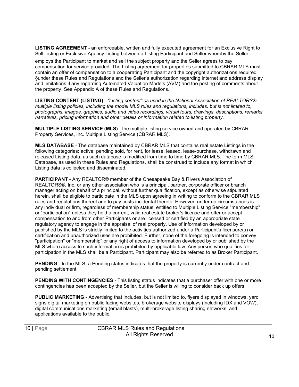**LISTING AGREEMENT** - an enforceable, written and fully executed agreement for an Exclusive Right to Sell Listing or Exclusive Agency Listing between a Listing Participant and Seller whereby the Seller

employs the Participant to market and sell the subject property and the Seller agrees to pay compensation for service provided. The Listing agreement for properties submitted to CBRAR MLS must contain an offer of compensation to a cooperating Participant and the copyright authorizations required §under these Rules and Regulations and the Seller's authorization regarding internet and address display and limitations if any regarding Automated Valuation Models (AVM) and the posting of comments about the property. See Appendix A of these Rules and Regulations.

**LISTING CONTENT (LISTING)** - *"Listing content" as used in the National Association of REALTORS® multiple listing policies, including the model MLS rules and regulations, includes, but is not limited to, photographs, images, graphics, audio and video recordings, virtual tours, drawings, descriptions, remarks narratives, pricing information and other details or information related to listing property.*

**MULTIPLE LISTING SERVICE (MLS)** - the multiple listing service owned and operated by CBRAR Property Services, Inc. Multiple Listing Service (CBRAR MLS).

**MLS DATABASE** *-* The database maintained by CBRAR MLS that contains real estate Listings in the following categories: active, pending sold, for rent, for lease, leased, lease-purchase, withdrawn and released Listing data, as such database is modified from time to time by CBRAR MLS. The term MLS Database, as used in these Rules and Regulations, shall be construed to include any format in which Listing data is collected and disseminated.

**PARTICIPANT** - Any REALTOR® member of the Chesapeake Bay & Rivers Association of REALTORS®, Inc. or any other association who is a principal, partner, corporate officer or branch manager acting on behalf of a principal, without further qualification, except as otherwise stipulated herein, shall be eligible to participate in the MLS upon agreeing in writing to conform to the CBRAR MLS rules and regulations thereof and to pay costs incidental thereto. However, under no circumstances is any individual or firm, regardless of membership status, entitled to Multiple Listing Service "membership" or "participation" unless they hold a current, valid real estate broker's license and offer or accept compensation to and from other Participants or are licensed or certified by an appropriate state regulatory agency to engage in the appraisal of real property. Use of information developed by or published by the MLS is strictly limited to the activities authorized under a Participant's licensure(s) or certification and unauthorized uses are prohibited. Further, none of the foregoing is intended to convey "participation" or "membership" or any right of access to information developed by or published by the MLS where access to such information is prohibited by applicable law. Any person who qualifies for participation in the MLS shall be a Participant. Participant may also be referred to as Broker Participant.

**PENDING** - In the MLS, a Pending status indicates that the property is currently under contract and pending settlement.

**PENDING WITH CONTINGENCIES** - This listing status indicates that a purchaser offer with one or more contingencies has been accepted by the Seller, but the Seller is willing to consider back up offers.

**PUBLIC MARKETING** - Advertising that includes, but is not limited to, flyers displayed in windows, yard signs digital marketing on public facing websites, brokerage website displays (including IDX and VOW), digital communications marketing (email blasts), multi-brokerage listing sharing networks, and applications available to the public.

\_\_\_\_\_\_\_\_\_\_\_\_\_\_\_\_\_\_\_\_\_\_\_\_\_\_\_\_\_\_\_\_\_\_\_\_\_\_\_\_\_\_\_\_\_\_\_\_\_\_\_\_\_\_\_\_\_\_\_\_\_\_\_\_\_\_\_\_\_\_\_\_\_\_\_\_\_\_\_\_\_\_\_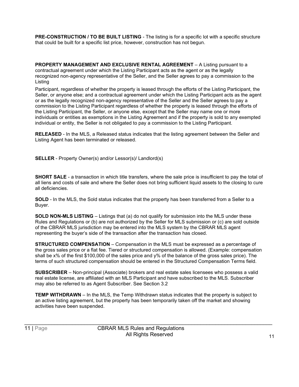**PRE-CONSTRUCTION / TO BE BUILT LISTING** - The listing is for a specific lot with a specific structure that could be built for a specific list price, however, construction has not begun.

**PROPERTY MANAGEMENT AND EXCLUSIVE RENTAL AGREEMENT – A Listing pursuant to a** contractual agreement under which the Listing Participant acts as the agent or as the legally recognized non-agency representative of the Seller, and the Seller agrees to pay a commission to the Listing

Participant, regardless of whether the property is leased through the efforts of the Listing Participant, the Seller, or anyone else; and a contractual agreement under which the Listing Participant acts as the agent or as the legally recognized non-agency representative of the Seller and the Seller agrees to pay a commission to the Listing Participant regardless of whether the property is leased through the efforts of the Listing Participant, the Seller, or anyone else, except that the Seller may name one or more individuals or entities as exemptions in the Listing Agreement and if the property is sold to any exempted individual or entity, the Seller is not obligated to pay a commission to the Listing Participant.

**RELEASED** - In the MLS, a Released status indicates that the listing agreement between the Seller and Listing Agent has been terminated or released.

**SELLER** - Property Owner(s) and/or Lessor(s)/ Landlord(s)

**SHORT SALE** - a transaction in which title transfers, where the sale price is insufficient to pay the total of all liens and costs of sale and where the Seller does not bring sufficient liquid assets to the closing to cure all deficiencies.

**SOLD** - In the MLS, the Sold status indicates that the property has been transferred from a Seller to a Buyer.

**SOLD NON-MLS LISTING** – Listings that (a) do not qualify for submission into the MLS under these Rules and Regulations or (b) are not authorized by the Seller for MLS submission or (c) are sold outside of the CBRAR MLS jurisdiction may be entered into the MLS system by the CBRAR MLS agent representing the buyer's side of the transaction after the transaction has closed.

**STRUCTURED COMPENSATION** – Compensation in the MLS must be expressed as a percentage of the gross sales price or a flat fee. Tiered or structured compensation is allowed. (Example: compensation shall be x% of the first \$100,000 of the sales price and y% of the balance of the gross sales price). The terms of such structured compensation should be entered in the Structured Compensation Terms field.

**SUBSCRIBER** – Non-principal (Associate) brokers and real estate sales licensees who possess a valid real estate license, are affiliated with an MLS Participant and have subscribed to the MLS. Subscriber may also be referred to as Agent Subscriber. See Section 3.2

**TEMP WITHDRAWN** – In the MLS, the Temp Withdrawn status indicates that the property is subject to an active listing agreement, but the property has been temporarily taken off the market and showing activities have been suspended.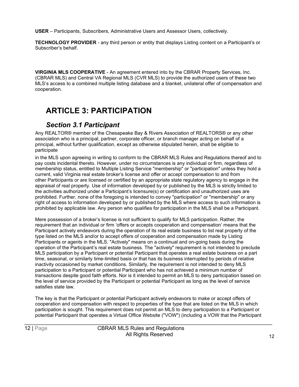**USER** – Participants, Subscribers, Administrative Users and Assessor Users, collectively.

**TECHNOLOGY PROVIDER** - any third person or entity that displays Listing content on a Participant's or Subscriber's behalf.

**VIRGINIA MLS COOPERATIVE** - An agreement entered into by the CBRAR Property Services, Inc. (CBRAR MLS) and Central VA Regional MLS (CVR MLS) to provide the authorized users of these two MLS's access to a combined multiple listing database and a blanket, unilateral offer of compensation and cooperation.

# <span id="page-15-0"></span>**ARTICLE 3: PARTICIPATION**

#### *Section 3.1 Participant*

<span id="page-15-1"></span>Any REALTOR® member of the Chesapeake Bay & Rivers Association of REALTORS® or any other association who is a principal, partner, corporate officer, or branch manager acting on behalf of a principal, without further qualification, except as otherwise stipulated herein, shall be eligible to participate

in the MLS upon agreeing in writing to conform to the CBRAR MLS Rules and Regulations thereof and to pay costs incidental thereto. However, under no circumstances is any individual or firm, regardless of membership status, entitled to Multiple Listing Service "membership" or "participation" unless they hold a current, valid Virginia real estate broker's license and offer or accept compensation to and from other Participants or are licensed or certified by an appropriate state regulatory agency to engage in the appraisal of real property. Use of information developed by or published by the MLS is strictly limited to the activities authorized under a Participant's licensure(s) or certification and unauthorized uses are prohibited. Further, none of the foregoing is intended to convey "participation" or "membership" or any right of access to information developed by or published by the MLS where access to such information is prohibited by applicable law. Any person who qualifies for participation in the MLS shall be a Participant.

Mere possession of a broker's license is not sufficient to qualify for MLS participation. Rather, the requirement that an individual or firm 'offers or accepts cooperation and compensation' means that the Participant actively endeavors during the operation of its real estate business to list real property of the type listed on the MLS and/or to accept offers of cooperation and compensation made by Listing Participants or agents in the MLS. "Actively" means on a continual and on-going basis during the operation of the Participant's real estate business. The "actively" requirement is not intended to preclude MLS participation by a Participant or potential Participant that operates a real estate business on a part time, seasonal, or similarly time-limited basis or that has its business interrupted by periods of relative inactivity occasioned by market conditions. Similarly, the requirement is not intended to deny MLS participation to a Participant or potential Participant who has not achieved a minimum number of transactions despite good faith efforts. Nor is it intended to permit an MLS to deny participation based on the level of service provided by the Participant or potential Participant as long as the level of service satisfies state law.

The key is that the Participant or potential Participant actively endeavors to make or accept offers of cooperation and compensation with respect to properties of the type that are listed on the MLS in which participation is sought. This requirement does not permit an MLS to deny participation to a Participant or potential Participant that operates a Virtual Office Website ("VOW") (including a VOW that the Participant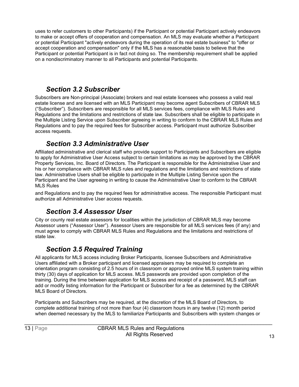uses to refer customers to other Participants) if the Participant or potential Participant actively endeavors to make or accept offers of cooperation and compensation. An MLS may evaluate whether a Participant or potential Participant "actively endeavors during the operation of its real estate business" to "offer or accept cooperation and compensation" only if the MLS has a reasonable basis to believe that the Participant or potential Participant is in fact not doing so. The membership requirement shall be applied on a nondiscriminatory manner to all Participants and potential Participants.

#### *Section 3.2 Subscriber*

<span id="page-16-0"></span>Subscribers are Non-principal (Associate) brokers and real estate licensees who possess a valid real estate license and are licensed with an MLS Participant may become agent Subscribers of CBRAR MLS ("Subscriber"). Subscribers are responsible for all MLS services fees, compliance with MLS Rules and Regulations and the limitations and restrictions of state law. Subscribers shall be eligible to participate in the Multiple Listing Service upon Subscriber agreeing in writing to conform to the CBRAR MLS Rules and Regulations and to pay the required fees for Subscriber access. Participant must authorize Subscriber access requests.

#### *Section 3.3 Administrative User*

<span id="page-16-1"></span>Affiliated administrative and clerical staff who provide support to Participants and Subscribers are eligible to apply for Administrative User Access subject to certain limitations as may be approved by the CBRAR Property Services, Inc. Board of Directors. The Participant is responsible for the Administrative User and his or her compliance with CBRAR MLS rules and regulations and the limitations and restrictions of state law. Administrative Users shall be eligible to participate in the Multiple Listing Service upon the Participant and the User agreeing in writing to cause the Administrative User to conform to the CBRAR MLS Rules

and Regulations and to pay the required fees for administrative access. The responsible Participant must authorize all Administrative User access requests.

#### *Section 3.4 Assessor User*

<span id="page-16-2"></span>City or county real estate assessors for localities within the jurisdiction of CBRAR MLS may become Assessor users ("Assessor User"). Assessor Users are responsible for all MLS services fees (if any) and must agree to comply with CBRAR MLS Rules and Regulations and the limitations and restrictions of state law.

#### *Section 3.5 Required Training*

<span id="page-16-3"></span>All applicants for MLS access including Broker Participants, licensee Subscribers and Administrative Users affiliated with a Broker participant and licensed appraisers may be required to complete an orientation program consisting of 2.5 hours of in classroom or approved online MLS system training within thirty (30) days of application for MLS access. MLS passwords are provided upon completion of the training. During the time between application for MLS access and receipt of a password, MLS staff can add or modify listing information for the Participant or Subscriber for a fee as determined by the CBRAR MLS Board of Directors.

Participants and Subscribers may be required, at the discretion of the MLS Board of Directors, to complete additional training of not more than four (4) classroom hours in any twelve (12) month period when deemed necessary by the MLS to familiarize Participants and Subscribers with system changes or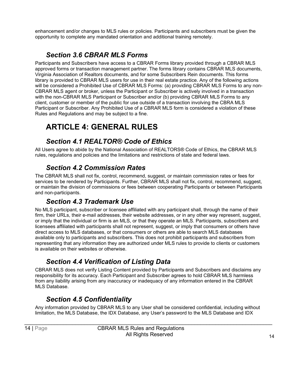enhancement and/or changes to MLS rules or policies. Participants and subscribers must be given the opportunity to complete any mandated orientation and additional training remotely.

#### *Section 3.6 CBRAR MLS Forms*

<span id="page-17-0"></span>Participants and Subscribers have access to a CBRAR Forms library provided through a CBRAR MLS approved forms or transaction management partner. The forms library contains CBRAR MLS documents, Virginia Association of Realtors documents, and for some Subscribers Rein documents. This forms library is provided to CBRAR MLS users for use in their real estate practice. Any of the following actions will be considered a Prohibited Use of CBRAR MLS Forms: (a) providing CBRAR MLS Forms to any non-CBRAR MLS agent or broker, unless the Participant or Subscriber is actively involved in a transaction with the non-CBRAR MLS Participant or Subscriber and/or (b) providing CBRAR MLS Forms to any client, customer or member of the public for use outside of a transaction involving the CBRA MLS Participant or Subscriber. Any Prohibited Use of a CBRAR MLS form is considered a violation of these Rules and Regulations and may be subject to a fine.

# <span id="page-17-1"></span>**ARTICLE 4: GENERAL RULES**

#### *Section 4.1 REALTOR® Code of Ethics*

<span id="page-17-2"></span>All Users agree to abide by the National Association of REALTORS® Code of Ethics, the CBRAR MLS rules, regulations and policies and the limitations and restrictions of state and federal laws.

#### *Section 4.2 Commission Rates*

<span id="page-17-3"></span>The CBRAR MLS shall not fix, control, recommend, suggest, or maintain commission rates or fees for services to be rendered by Participants. Further, CBRAR MLS shall not fix, control, recommend, suggest, or maintain the division of commissions or fees between cooperating Participants or between Participants and non-participants.

#### *Section 4.3 Trademark Use*

<span id="page-17-4"></span>No MLS participant, subscriber or licensee affiliated with any participant shall, through the name of their firm, their URLs, their e-mail addresses, their website addresses, or in any other way represent, suggest, or imply that the individual or firm is an MLS, or that they operate an MLS. Participants, subscribers and licensees affiliated with participants shall not represent, suggest, or imply that consumers or others have direct access to MLS databases, or that consumers or others are able to search MLS databases available only to participants and subscribers. This does not prohibit participants and subscribers from representing that any information they are authorized under MLS rules to provide to clients or customers is available on their websites or otherwise.

#### *Section 4.4 Verification of Listing Data*

<span id="page-17-5"></span>CBRAR MLS does not verify Listing Content provided by Participants and Subscribers and disclaims any responsibility for its accuracy. Each Participant and Subscriber agrees to hold CBRAR MLS harmless from any liability arising from any inaccuracy or inadequacy of any information entered in the CBRAR MLS Database.

#### *Section 4.5 Confidentiality*

<span id="page-17-6"></span>Any information provided by CBRAR MLS to any User shall be considered confidential, including without limitation, the MLS Database, the IDX Database, any User's password to the MLS Database and IDX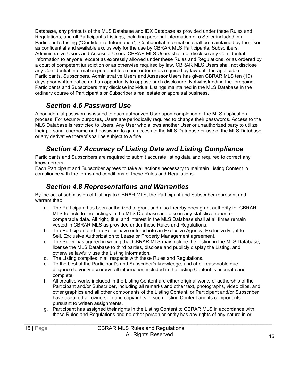Database, any printouts of the MLS Database and IDX Database as provided under these Rules and Regulations, and all Participant's Listings, including personal information of a Seller included in a Participant's Listing ("Confidential Information"). Confidential Information shall be maintained by the User as confidential and available exclusively for the use by CBRAR MLS Participants, Subscribers, Administrative Users and Assessor Users. CBRAR MLS Users shall not disclose any Confidential Information to anyone, except as expressly allowed under these Rules and Regulations, or as ordered by a court of competent jurisdiction or as otherwise required by law. CBRAR MLS Users shall not disclose any Confidential Information pursuant to a court order or as required by law until the applicable Participants, Subscribers, Administrative Users and Assessor Users has given CBRAR MLS ten (10) days prior written notice and an opportunity to oppose such disclosure. Notwithstanding the foregoing, Participants and Subscribers may disclose individual Listings maintained in the MLS Database in the ordinary course of Participant's or Subscriber's real estate or appraisal business.

#### *Section 4.6 Password Use*

<span id="page-18-0"></span>A confidential password is issued to each authorized User upon completion of the MLS application process. For security purposes, Users are periodically required to change their passwords. Access to the MLS Database is restricted to Users. Any User who allows another User or unauthorized party to utilize their personal username and password to gain access to the MLS Database or use of the MLS Database or any derivative thereof shall be subject to a fine.

#### *Section 4.7 Accuracy of Listing Data and Listing Compliance*

<span id="page-18-1"></span>Participants and Subscribers are required to submit accurate listing data and required to correct any known errors.

Each Participant and Subscriber agrees to take all actions necessary to maintain Listing Content in compliance with the terms and conditions of these Rules and Regulations.

#### *Section 4.8 Representations and Warranties*

<span id="page-18-2"></span>By the act of submission of Listings to CBRAR MLS, the Participant and Subscriber represent and warrant that:

- a. The Participant has been authorized to grant and also thereby does grant authority for CBRAR MLS to include the Listings in the MLS Database and also in any statistical report on comparable data. All right, title, and interest in the MLS Database shall at all times remain vested in CBRAR MLS as provided under these Rules and Regulations.
- b. The Participant and the Seller have entered into an Exclusive Agency, Exclusive Right to Sell, Exclusive Authorization to Lease or Property Management agreement.
- c. The Seller has agreed in writing that CBRAR MLS may include the Listing in the MLS Database, license the MLS Database to third parties, disclose and publicly display the Listing, and otherwise lawfully use the Listing information.
- d. The Listing complies in all respects with these Rules and Regulations.
- e. To the best of the Participant's and Subscriber's knowledge, and after reasonable due diligence to verify accuracy, all information included in the Listing Content is accurate and complete.
- f. All creative works included in the Listing Content are either original works of authorship of the Participant and/or Subscriber, including all remarks and other text, photographs, video clips, and other graphics and all other components of the Listing Content, or Participant and/or Subscriber have acquired all ownership and copyrights in such Listing Content and its components pursuant to written assignments.
- g. Participant has assigned their rights in the Listing Content to CBRAR MLS in accordance with these Rules and Regulations and no other person or entity has any rights of any nature in or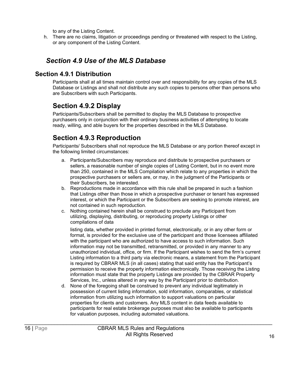to any of the Listing Content.

h. There are no claims, litigation or proceedings pending or threatened with respect to the Listing, or any component of the Listing Content.

#### *Section 4.9 Use of the MLS Database*

#### <span id="page-19-0"></span>**Section 4.9.1 Distribution**

Participants shall at all times maintain control over and responsibility for any copies of the MLS Database or Listings and shall not distribute any such copies to persons other than persons who are Subscribers with such Participants.

#### <span id="page-19-1"></span>**Section 4.9.2 Display**

Participants/Subscribers shall be permitted to display the MLS Database to prospective purchasers only in conjunction with their ordinary business activities of attempting to locate ready, willing, and able buyers for the properties described in the MLS Database.

#### <span id="page-19-2"></span>**Section 4.9.3 Reproduction**

Participants/ Subscribers shall not reproduce the MLS Database or any portion thereof except in the following limited circumstances:

- a. Participants/Subscribers may reproduce and distribute to prospective purchasers or sellers, a reasonable number of single copies of Listing Content, but in no event more than 250, contained in the MLS Compilation which relate to any properties in which the prospective purchasers or sellers are, or may, in the judgment of the Participants or their Subscribers, be interested.
- b. Reproductions made in accordance with this rule shall be prepared in such a fashion that Listings other than those in which a prospective purchaser or tenant has expressed interest, or which the Participant or the Subscribers are seeking to promote interest, are not contained in such reproduction.
- c. Nothing contained herein shall be construed to preclude any Participant from utilizing, displaying, distributing, or reproducing property Listings or other compilations of data

listing data, whether provided in printed format, electronically, or in any other form or format, is provided for the exclusive use of the participant and those licensees affiliated with the participant who are authorized to have access to such information. Such information may not be transmitted, retransmitted, or provided in any manner to any unauthorized individual, office, or firm. If the Participant wishes to send the firm's current Listing information to a third party via electronic means, a statement from the Participant is required by CBRAR MLS (in all cases) stating that said entity has the Participant's permission to receive the property information electronically. Those receiving the Listing information must state that the property Listings are provided by the CBRAR Property Services, Inc., unless altered in any way by the Participant prior to distribution.

d. None of the foregoing shall be construed to prevent any individual legitimately in possession of current listing information, sold information, comparables, or statistical information from utilizing such information to support valuations on particular properties for clients and customers. Any MLS content in data feeds available to participants for real estate brokerage purposes must also be available to participants for valuation purposes, including automated valuations.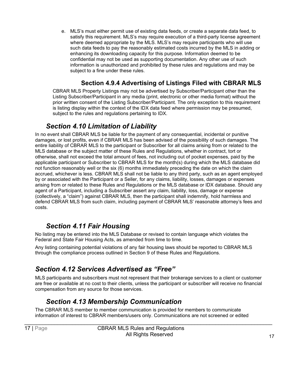e. MLS's must either permit use of existing data feeds, or create a separate data feed, to satisfy this requirement. MLS's may require execution of a third-party license agreement where deemed appropriate by the MLS. MLS's may require participants who will use such data feeds to pay the reasonably estimated costs incurred by the MLS in adding or enhancing its downloading capacity for this purpose. Information deemed to be confidential may not be used as supporting documentation. Any other use of such information is unauthorized and prohibited by these rules and regulations and may be subject to a fine under these rules.

#### **Section 4.9.4 Advertising of Listings Filed with CBRAR MLS**

CBRAR MLS Property Listings may not be advertised by Subscriber/Participant other than the Listing Subscriber/Participant in any media (print, electronic or other media format) without the prior written consent of the Listing Subscriber/Participant. The only exception to this requirement is listing display within the context of the IDX data feed where permission may be presumed, subject to the rules and regulations pertaining to IDX.

#### *Section 4.10 Limitation of Liability*

<span id="page-20-0"></span>In no event shall CBRAR MLS be liable for the payment of any consequential, incidental or punitive damages, or lost profits, even if CBRAR MLS has been advised of the possibility of such damages. The entire liability of CBRAR MLS to the participant or Subscriber for all claims arising from or related to the MLS database or the subject matter of these Rules and Regulations, whether in contract, tort or otherwise, shall not exceed the total amount of fees, not including out of pocket expenses, paid by the applicable participant or Subscriber to CBRAR MLS for the month(s) during which the MLS database did not function reasonably well or the six (6) months immediately preceding the date on which the claim accrued, whichever is less. CBRAR MLS shall not be liable to any third party, such as an agent employed by or associated with the Participant or a Seller, for any claims, liability, losses, damages or expenses arising from or related to these Rules and Regulations or the MLS database or IDX database. Should any agent of a Participant, including a Subscriber assert any claim, liability, loss, damage or expense (collectively, a "claim") against CBRAR MLS, then the participant shall indemnify, hold harmless and defend CBRAR MLS from such claim, including payment of CBRAR MLS' reasonable attorney's fees and costs.

#### *Section 4.11 Fair Housing*

<span id="page-20-1"></span>No listing may be entered into the MLS Database or revised to contain language which violates the Federal and State Fair Housing Acts, as amended from time to time.

Any listing containing potential violations of any fair housing laws should be reported to CBRAR MLS through the compliance process outlined in Section 9 of these Rules and Regulations.

#### *Section 4.12 Services Advertised as "Free"*

MLS participants and subscribers must not represent that their brokerage services to a client or customer are free or available at no cost to their clients, unless the participant or subscriber will receive no financial compensation from any source for those services.

#### *Section 4.13 Membership Communication*

<span id="page-20-2"></span>The CBRAR MLS member to member communication is provided for members to communicate information of interest to CBRAR members/users only. Communications are not screened or edited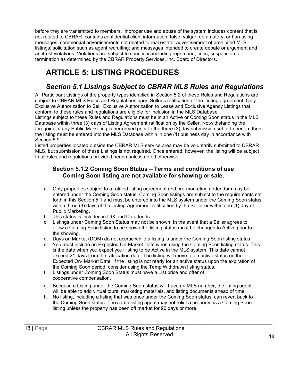before they are transmitted to members. Improper use and abuse of the system includes content that is not related to CBRAR; contains confidential client information; false, vulgar, defamatory, or harassing messages; commercial advertisements not related to real estate; advertisement of prohibited MLS listings; solicitation such as agent recruiting; and messages intended to create debate or argument and antitrust violations. Violations are subject to sanctions including reprimand, fines, suspension, or termination as determined by the CBRAR Property Services, Inc. Board of Directors.

# <span id="page-21-0"></span>**ARTICLE 5: LISTING PROCEDURES**

#### *Section 5.1 Listings Subject to CBRAR MLS Rules and Regulations*

<span id="page-21-1"></span>All Participant Listings of the property types identified in Section 5.2 of these Rules and Regulations are subject to CBRAR MLS Rules and Regulations upon Seller's ratification of the Listing agreement. Only Exclusive Authorization to Sell, Exclusive Authorization to Lease and Exclusive Agency Listings that conform to these rules and regulations are eligible for inclusion in the MLS Database.

Listings subject to these Rules and Regulations must be in an Active or Coming Soon status in the MLS Database within three (3) days of Listing Agreement ratification by the Seller. Notwithstanding the foregoing, if any Public Marketing is performed prior to the three (3) day submission set forth herein, then the listing must be entered into the MLS Database within in one (1) business day in accordance with Section 5.9.

Listed properties located outside the CBRAR MLS service area may be voluntarily submitted to CBRAR MLS, but submission of these Listings is not required. Once entered, however, the listing will be subject to all rules and regulations provided herein unless noted otherwise.

#### **Section 5.1.2 Coming Soon Status – Terms and conditions of use Coming Soon listing are not available for showing or sale.**

- a. Only properties subject to a ratified listing agreement and pre-marketing addendum may be entered under the Coming Soon status. Coming Soon listings are subject to the requirements set forth in this Section 5.1 and must be entered into the MLS system under the Coming Soon status within three (3) days of the Listing Agreement ratification by the Seller or within one (1) day of Public Marketing.
- b. This status is included in IDX and Data feeds.
- c. Listings under Coming Soon Status may not be shown. In the event that a Seller agrees to allow a Coming Soon listing to be shown the listing status must be changed to Active prior to the showing.
- d. Days on Market (DOM) do not accrue while a listing is under the Coming Soon listing status.
- e. You must include an Expected On-Market Date when using the Coming Soon listing status. This is the date when you expect your listing to be Active in the MLS system. This date cannot exceed 21 days from the ratification date. The listing will move to an active status on the Expected On- Market Date. If the listing is not ready for an active status upon the expiration of the Coming Soon period, consider using the Temp Withdrawn listing status.
- f. Listings under Coming Soon Status must have a List price and offer of cooperative compensation.
- g. Because a Listing under the Coming Soon status will have an MLS number, the listing agent will be able to add virtual tours, marketing materials, and listing documents ahead of time.
- h. No listing, including a listing that was once under the Coming Soon status, can revert back to the Coming Soon status. The same listing agent may not relist a property as a Coming Soon listing unless the property has been off market for 90 days or more.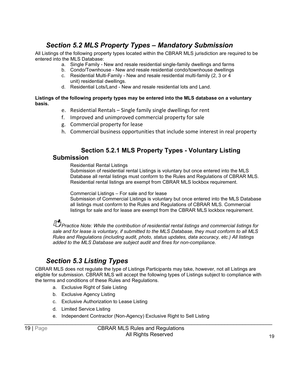#### *Section 5.2 MLS Property Types – Mandatory Submission*

<span id="page-22-0"></span>All Listings of the following property types located within the CBRAR MLS jurisdiction are required to be entered into the MLS Database:

- a. Single Family New and resale residential single-family dwellings and farms
- b. Condo/Townhouse New and resale residential condo/townhouse dwellings
- c. Residential Multi-Family New and resale residential multi-family (2, 3 or  $\overline{4}$ ) unit) residential dwellings.
- d. Residential Lots/Land New and resale residential lots and Land.

#### **Listings of the following property types may be entered into the MLS database on a voluntary basis.**

- e. Residential Rentals Single family single dwellings for rent
- f. Improved and unimproved commercial property for sale
- g. Commercial property for lease
- h. Commercial business opportunities that include some interest in real property

#### **Section 5.2.1 MLS Property Types - Voluntary Listing**

#### **Submission**

Residential Rental Listings

Submission of residential rental Listings is voluntary but once entered into the MLS Database all rental listings must conform to the Rules and Regulations of CBRAR MLS. Residential rental listings are exempt from CBRAR MLS lockbox requirement.

Commercial Listings – For sale and for lease

Submission of Commercial Listings is voluntary but once entered into the MLS Database all listings must conform to the Rules and Regulations of CBRAR MLS. Commercial listings for sale and for lease are exempt from the CBRAR MLS lockbox requirement.

**Practice Note: While the contribution of residential rental listings and commercial listings for** *sale and for lease is voluntary, if submitted to the MLS Database, they must conform to all MLS Rules and Regulations (including audit, photo, status updates, data accuracy, etc.) All listings added to the MLS Database are subject audit and fines for non-compliance.*

#### *Section 5.3 Listing Types*

<span id="page-22-1"></span>CBRAR MLS does not regulate the type of Listings Participants may take, however, not all Listings are eligible for submission. CBRAR MLS will accept the following types of Listings subject to compliance with the terms and conditions of these Rules and Regulations.

- a. Exclusive Right of Sale Listing
- b. Exclusive Agency Listing
- c. Exclusive Authorization to Lease Listing
- d. Limited Service Listing
- e. Independent Contractor (Non-Agency) Exclusive Right to Sell Listing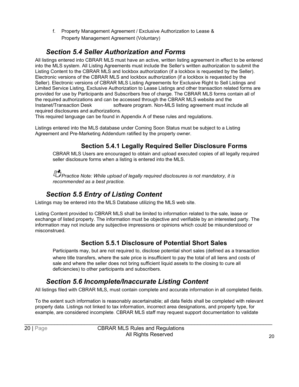f. Property Management Agreement / Exclusive Authorization to Lease & Property Management Agreement (Voluntary)

#### *Section 5.4 Seller Authorization and Forms*

<span id="page-23-0"></span>All listings entered into CBRAR MLS must have an active, written listing agreement in effect to be entered into the MLS system. All Listing Agreements must include the Seller's written authorization to submit the Listing Content to the CBRAR MLS and lockbox authorization (if a lockbox is requested by the Seller). Electronic versions of the CBRAR MLS and lockbox authorization (if a lockbox is requested by the Seller). Electronic versions of CBRAR MLS Listing Agreements for Exclusive Right to Sell Listings and Limited Service Listing, Exclusive Authorization to Lease Listings and other transaction related forms are provided for use by Participants and Subscribers free of charge. The CBRAR MLS forms contain all of the required authorizations and can be accessed through the CBRAR MLS website and the Instanet/Transaction Desk software program. Non-MLS listing agreement must include all required disclosures and authorizations.

This required language can be found in Appendix A of these rules and regulations.

Listings entered into the MLS database under Coming Soon Status must be subject to a Listing Agreement and Pre-Marketing Addendum ratified by the property owner.

#### **Section 5.4.1 Legally Required Seller Disclosure Forms**

CBRAR MLS Users are encouraged to obtain and upload executed copies of all legally required seller disclosure forms when a listing is entered into the MLS.

*P*<br>*Practice Note: While upload of legally required disclosures is not mandatory, it is recommended as a best practice.*

#### *Section 5.5 Entry of Listing Content*

<span id="page-23-1"></span>Listings may be entered into the MLS Database utilizing the MLS web site.

Listing Content provided to CBRAR MLS shall be limited to information related to the sale, lease or exchange of listed property. The information must be objective and verifiable by an interested party. The information may not include any subjective impressions or opinions which could be misunderstood or misconstrued.

#### **Section 5.5.1 Disclosure of Potential Short Sales**

Participants may, but are not required to, disclose potential short sales (defined as a transaction where title transfers, where the sale price is insufficient to pay the total of all liens and costs of sale and where the seller does not bring sufficient liquid assets to the closing to cure all deficiencies) to other participants and subscribers.

#### *Section 5.6 Incomplete/Inaccurate Listing Content*

<span id="page-23-2"></span>All listings filed with CBRAR MLS, must contain complete and accurate information in all completed fields.

To the extent such information is reasonably ascertainable; all data fields shall be completed with relevant property data. Listings not linked to tax information, incorrect area designations, and property type, for example, are considered incomplete. CBRAR MLS staff may request support documentation to validate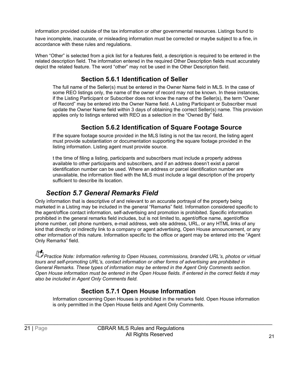information provided outside of the tax information or other governmental resources. Listings found to

have incomplete, inaccurate, or misleading information must be corrected or maybe subject to a fine, in accordance with these rules and regulations.

When "Other" is selected from a pick list for a features field, a description is required to be entered in the related description field. The information entered in the required Other Description fields must accurately depict the related feature. The word "other" may not be used in the Other Description field.

#### **Section 5.6.1 Identification of Seller**

The full name of the Seller(s) must be entered in the Owner Name field in MLS. In the case of some REO listings only, the name of the owner of record may not be known. In these instances, if the Listing Participant or Subscriber does not know the name of the Seller(s), the term "Owner of Record" may be entered into the Owner Name field. A Listing Participant or Subscriber must update the Owner Name field within 3 days of obtaining the correct Seller(s) name. This provision applies only to listings entered with REO as a selection in the "Owned By" field.

#### **Section 5.6.2 Identification of Square Footage Source**

If the square footage source provided in the MLS listing is not the tax record, the listing agent must provide substantiation or documentation supporting the square footage provided in the listing information. Listing agent must provide source.

t the time of filing a listing, participants and subscribers must include a property address available to other participants and subscribers, and if an address doesn't exist a parcel identification number can be used. Where an address or parcel identification number are unavailable, the information filed with the MLS must include a legal description of the property sufficient to describe its location.

#### *Section 5.7 General Remarks Field*

<span id="page-24-0"></span>Only information that is descriptive of and relevant to an accurate portrayal of the property being marketed in a Listing may be included in the general "Remarks" field. Information considered specific to the agent/office contact information, self-advertising and promotion is prohibited. Specific information prohibited in the general remarks field includes, but is not limited to, agent/office name, agent/office phone number, cell phone numbers, e-mail address, web site address, URL, or any HTML links of any kind that directly or indirectly link to a company or agent advertising, Open House announcement, or any other information of this nature. Information specific to the office or agent may be entered into the "Agent Only Remarks" field.

**Practice Note: Information referring to Open Houses, commissions, branded URL's, photos or virtual** *tours and self-promoting URL's, contact information or other forms of advertising are prohibited in General Remarks. These types of information may be entered in the Agent Only Comments section. Open House information must be entered in the Open House fields. If entered in the correct fields it may also be included in Agent Only Comments field.*

#### **Section 5.7.1 Open House Information**

Information concerning Open Houses is prohibited in the remarks field. Open House information is only permitted in the Open House fields and Agent Only Comments.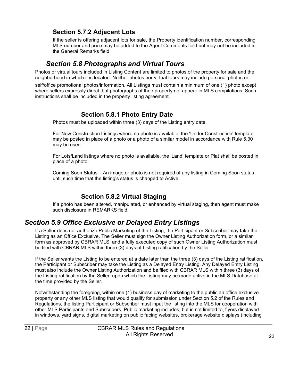#### **Section 5.7.2 Adjacent Lots**

If the seller is offering adjacent lots for sale, the Property identification number, corresponding MLS number and price may be added to the Agent Comments field but may not be included in the General Remarks field.

#### *Section 5.8 Photographs and Virtual Tours*

<span id="page-25-0"></span>Photos or virtual tours included in Listing Content are limited to photos of the property for sale and the neighborhood in which it is located. Neither photos nor virtual tours may include personal photos or

self/office promotional photos/information. All Listings must contain a minimum of one (1) photo except where sellers expressly direct that photographs of their property not appear in MLS compilations. Such instructions shall be included in the property listing agreement.

#### **Section 5.8.1 Photo Entry Date**

Photos must be uploaded within three (3) days of the Listing entry date.

For New Construction Listings where no photo is available, the 'Under Construction' template may be posted in place of a photo or a photo of a similar model in accordance with Rule 5.30 may be used.

For Lots/Land listings where no photo is available, the 'Land' template or Plat shall be posted in place of a photo.

Coming Soon Status – An image or photo is not required of any listing in Coming Soon status until such time that the listing's status is changed to Active.

#### **Section 5.8.2 Virtual Staging**

If a photo has been altered, manipulated, or enhanced by virtual staging, then agent must make such disclosure in REMARKS field.

#### *Section 5.9 Office Exclusive or Delayed Entry Listings*

If a Seller does not authorize Public Marketing of the Listing, the Participant or Subscriber may take the Listing as an Office Exclusive. The Seller must sign the Owner Listing Authorization form, or a similar form as approved by CBRAR MLS, and a fully executed copy of such Owner Listing Authorization must be filed with CBRAR MLS within three (3) days of Listing ratification by the Seller.

If the Seller wants the Listing to be entered at a date later than the three (3) days of the Listing ratification, the Participant or Subscriber may take the Listing as a Delayed Entry Listing. Any Delayed Entry Listing must also include the Owner Listing Authorization and be filed with CBRAR MLS within three (3) days of the Listing ratification by the Seller, upon which the Listing may be made active in the MLS Database at the time provided by the Seller.

Notwithstanding the foregoing, within one (1) business day of marketing to the public an office exclusive property or any other MLS listing that would qualify for submission under Section 5.2 of the Rules and Regulations, the listing Participant or Subscriber must input the listing into the MLS for cooperation with other MLS Participants and Subscribers. Public marketing includes, but is not limited to, flyers displayed in windows, yard signs, digital marketing on public facing websites, brokerage website displays (including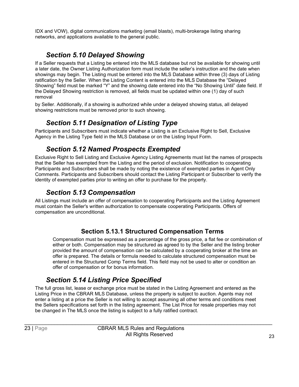IDX and VOW), digital communications marketing (email blasts), multi-brokerage listing sharing networks, and applications available to the general public.

#### *Section 5.10 Delayed Showing*

<span id="page-26-0"></span>If a Seller requests that a Listing be entered into the MLS database but not be available for showing until a later date, the Owner Listing Authorization form must include the seller's instruction and the date when showings may begin. The Listing must be entered into the MLS Database within three (3) days of Listing ratification by the Seller. When the Listing Content is entered into the MLS Database the "Delayed Showing" field must be marked "Y" and the showing date entered into the "No Showing Until" date field. If the Delayed Showing restriction is removed, all fields must be updated within one (1) day of such removal

by Seller. Additionally, if a showing is authorized while under a delayed showing status, all delayed showing restrictions must be removed prior to such showing.

#### *Section 5.11 Designation of Listing Type*

<span id="page-26-1"></span>Participants and Subscribers must indicate whether a Listing is an Exclusive Right to Sell, Exclusive Agency in the Listing Type field in the MLS Database or on the Listing Input Form.

#### *Section 5.12 Named Prospects Exempted*

<span id="page-26-2"></span>Exclusive Right to Sell Listing and Exclusive Agency Listing Agreements must list the names of prospects that the Seller has exempted from the Listing and the period of exclusion. Notification to cooperating Participants and Subscribers shall be made by noting the existence of exempted parties in Agent Only Comments. Participants and Subscribers should contact the Listing Participant or Subscriber to verify the identity of exempted parties prior to writing an offer to purchase for the property.

#### *Section 5.13 Compensation*

<span id="page-26-3"></span>All Listings must include an offer of compensation to cooperating Participants and the Listing Agreement must contain the Seller's written authorization to compensate cooperating Participants. Offers of compensation are unconditional.

#### **Section 5.13.1 Structured Compensation Terms**

Compensation must be expressed as a percentage of the gross price, a flat fee or combination of either or both. Compensation may be structured as agreed to by the Seller and the listing broker provided the amount of compensation can be calculated by a cooperating broker at the time an offer is prepared. The details or formula needed to calculate structured compensation must be entered in the Structured Comp Terms field. This field may not be used to alter or condition an offer of compensation or for bonus information.

#### *Section 5.14 Listing Price Specified*

<span id="page-26-4"></span>The full gross list, lease or exchange price must be stated in the Listing Agreement and entered as the Listing Price in the CBRAR MLS Database, unless the property is subject to auction. Agents may not enter a listing at a price the Seller is not willing to accept assuming all other terms and conditions meet the Sellers specifications set forth in the listing agreement. The List Price for resale properties may not be changed in The MLS once the listing is subject to a fully ratified contract.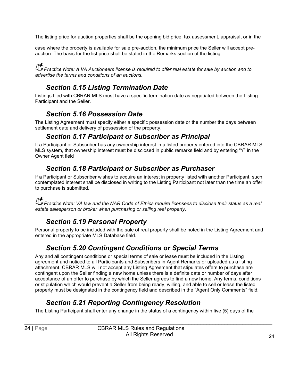The listing price for auction properties shall be the opening bid price, tax assessment, appraisal, or in the

case where the property is available for sale pre-auction, the minimum price the Seller will accept preauction. The basis for the list price shall be stated in the Remarks section of the listing.

*Practice Note: A VA Auctioneers license is required to offer real estate for sale by auction and to advertise the terms and conditions of an auctions.*

#### *Section 5.15 Listing Termination Date*

<span id="page-27-0"></span>Listings filed with CBRAR MLS must have a specific termination date as negotiated between the Listing Participant and the Seller.

#### *Section 5.16 Possession Date*

<span id="page-27-2"></span><span id="page-27-1"></span>The Listing Agreement must specify either a specific possession date or the number the days between settlement date and delivery of possession of the property.

#### *Section 5.17 Participant or Subscriber as Principal*

If a Participant or Subscriber has any ownership interest in a listed property entered into the CBRAR MLS MLS system, that ownership interest must be disclosed in public remarks field and by entering "Y" in the Owner Agent field

#### *Section 5.18 Participant or Subscriber as Purchaser*

<span id="page-27-3"></span>If a Participant or Subscriber wishes to acquire an interest in property listed with another Participant, such contemplated interest shall be disclosed in writing to the Listing Participant not later than the time an offer to purchase is submitted.

**Practice Note: VA law and the NAR Code of Ethics require licensees to disclose their status as a real** *estate salesperson or broker when purchasing or selling real property.*

### *Section 5.19 Personal Property*

<span id="page-27-4"></span>Personal property to be included with the sale of real property shall be noted in the Listing Agreement and entered in the appropriate MLS Database field.

#### *Section 5.20 Contingent Conditions or Special Terms*

<span id="page-27-5"></span>Any and all contingent conditions or special terms of sale or lease must be included in the Listing agreement and noticed to all Participants and Subscribers in Agent Remarks or uploaded as a listing attachment. CBRAR MLS will not accept any Listing Agreement that stipulates offers to purchase are contingent upon the Seller finding a new home unless there is a definite date or number of days after acceptance of an offer to purchase by which the Seller agrees to find a new home. Any terms, conditions or stipulation which would prevent a Seller from being ready, willing, and able to sell or lease the listed property must be designated in the contingency field and described in the "Agent Only Comments" field.

### *Section 5.21 Reporting Contingency Resolution*

<span id="page-27-6"></span>The Listing Participant shall enter any change in the status of a contingency within five (5) days of the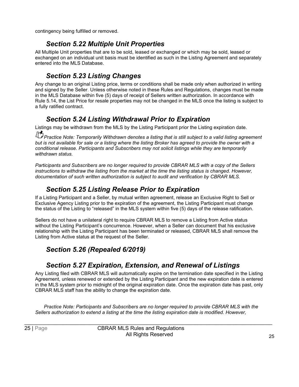contingency being fulfilled or removed.

#### *Section 5.22 Multiple Unit Properties*

<span id="page-28-0"></span>All Multiple Unit properties that are to be sold, leased or exchanged or which may be sold, leased or exchanged on an individual unit basis must be identified as such in the Listing Agreement and separately entered into the MLS Database.

#### *Section 5.23 Listing Changes*

<span id="page-28-1"></span>Any change to an original Listing price, terms or conditions shall be made only when authorized in writing and signed by the Seller. Unless otherwise noted in these Rules and Regulations, changes must be made in the MLS Database within five (5) days of receipt of Sellers written authorization. In accordance with Rule 5.14, the List Price for resale properties may not be changed in the MLS once the listing is subject to a fully ratified contract.

#### *Section 5.24 Listing Withdrawal Prior to Expiration*

<span id="page-28-2"></span>Listings may be withdrawn from the MLS by the Listing Participant prior the Listing expiration date.

**Practice Note: Temporarily Withdrawn denotes a listing that is still subject to a valid listing agreement** *but is not available for sale or a listing where the listing Broker has agreed to provide the owner with a conditional release. Participants and Subscribers may not solicit listings while they are temporarily withdrawn status.*

*Participants and Subscribers are no longer required to provide CBRAR MLS with a copy of the Sellers instructions to withdraw the listing from the market at the time the listing status is changed. However, documentation of such written authorization is subject to audit and verification by CBRAR MLS.*

#### *Section 5.25 Listing Release Prior to Expiration*

<span id="page-28-3"></span>If a Listing Participant and a Seller, by mutual written agreement, release an Exclusive Right to Sell or Exclusive Agency Listing prior to the expiration of the agreement, the Listing Participant must change the status of the Listing to "released" in the MLS system within five (5) days of the release ratification.

Sellers do not have a unilateral right to require CBRAR MLS to remove a Listing from Active status without the Listing Participant's concurrence. However, when a Seller can document that his exclusive relationship with the Listing Participant has been terminated or released, CBRAR MLS shall remove the Listing from Active status at the request of the Seller.

#### <span id="page-28-4"></span>*Section 5.26 (Repealed 6/2019)*

#### *Section 5.27 Expiration, Extension, and Renewal of Listings*

<span id="page-28-5"></span>Any Listing filed with CBRAR MLS will automatically expire on the termination date specified in the Listing Agreement, unless renewed or extended by the Listing Participant and the new expiration date is entered in the MLS system prior to midnight of the original expiration date. Once the expiration date has past, only CBRAR MLS staff has the ability to change the expiration date.

*Practice Note: Participants and Subscribers are no longer required to provide CBRAR MLS with the Sellers authorization to extend a listing at the time the listing expiration date is modified. However,*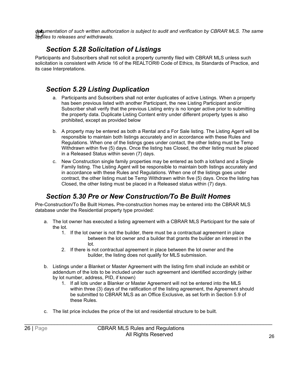*documentation of such written authorization is subject to audit and verification by CBRAR MLS. The same applies to releases and withdrawals.*

#### *Section 5.28 Solicitation of Listings*

<span id="page-29-0"></span>Participants and Subscribers shall not solicit a property currently filed with CBRAR MLS unless such solicitation is consistent with Article 16 of the REALTOR® Code of Ethics, its Standards of Practice, and its case Interpretations.

#### <span id="page-29-1"></span>*Section 5.29 Listing Duplication*

- a. Participants and Subscribers shall not enter duplicates of active Listings. When a property has been previous listed with another Participant, the new Listing Participant and/or Subscriber shall verify that the previous Listing entry is no longer active prior to submitting the property data. Duplicate Listing Content entry under different property types is also prohibited, except as provided below
- b. A property may be entered as both a Rental and a For Sale listing. The Listing Agent will be responsible to maintain both listings accurately and in accordance with these Rules and Regulations. When one of the listings goes under contact, the other listing must be Temp Withdrawn within five (5) days. Once the listing has Closed, the other listing must be placed in a Released Status within seven (7) days.
- c. New Construction single family properties may be entered as both a lot/land and a Single Family listing. The Listing Agent will be responsible to maintain both listings accurately and in accordance with these Rules and Regulations. When one of the listings goes under contract, the other listing must be Temp Withdrawn within five (5) days. Once the listing has Closed, the other listing must be placed in a Released status within (7) days.

#### *Section 5.30 Pre or New Construction/To Be Built Homes*

<span id="page-29-2"></span>Pre-Construction/To Be Built Homes*.* Pre-construction homes may be entered into the CBRAR MLS database under the Residential property type provided:

- a. The lot owner has executed a listing agreement with a CBRAR MLS Participant for the sale of the lot.
	- 1. If the lot owner is not the builder, there must be a contractual agreement in place between the lot owner and a builder that grants the builder an interest in the lot.
	- 2. If there is not contractual agreement in place between the lot owner and the builder, the listing does not qualify for MLS submission.
- b. Listings under a Blanket or Master Agreement with the listing firm shall include an exhibit or addendum of the lots to be included under such agreement and identified accordingly (either by lot number, address, PID, if known)
	- 1. If all lots under a Blanker or Master Agreement will not be entered into the MLS within three (3) days of the ratification of the listing agreement, the Agreement should be submitted to CBRAR MLS as an Office Exclusive, as set forth in Section 5.9 of these Rules.
- c. The list price includes the price of the lot and residential structure to be built.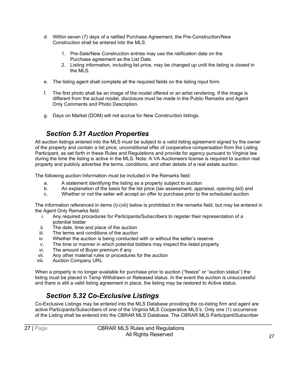- d. Within seven (7) days of a ratified Purchase Agreement, the Pre-Construction/New Construction shall be entered into the MLS.
	- 1. Pre-Sale/New Construction entries may use the ratification date on the Purchase agreement as the List Date.
	- 2. Listing information, including list price, may be changed up until the listing is closed in the MLS.
- e. The listing agent shall complete all the required fields on the listing input form.
- f. The first photo shall be an image of the model offered or an artist rendering. If the image is different from the actual model, disclosure must be made in the Public Remarks and Agent Only Comments and Photo Description.
- g. Days on Market (DOM) will not accrue for New Construction listings.

#### *Section 5.31 Auction Properties*

<span id="page-30-0"></span>All auction listings entered into the MLS must be subject to a valid listing agreement signed by the owner of the property and contain a list price; unconditional offer of cooperative compensation from the Listing Participant, as set forth in these Rules and Regulations and provide for agency pursuant to Virginia law during the time the listing is active in the MLS. Note: A VA Auctioneers license is required to auction real property and publicly advertise the terms, conditions, and other details of a real estate auction.

The following auction Information must be included in the Remarks field:

- a. A statement identifying the listing as a property subject to auction
- b. An explanation of the basis for the list price (tax assessment, appraisal, opening bid) and
- c. Whether or not the seller will accept an offer to purchase prior to the scheduled auction

The information referenced in items (i)-(viii) below is prohibited in the remarks field, but may be entered in the Agent Only Remarks field:

- i. Any required procedures for Participants/Subscribers to register their representation of a potential bidder
- ii. The date, time and place of the auction
- iii. The terms and conditions of the auction
- iv. Whether the auction is being conducted with or without the seller's reserve
- The time or manner in which potential bidders may inspect the listed property
- vi. The amount of Buyer premium if any
- vii. Any other material rules or procedures for the auction<br>viii. Auction Company URL
- **Auction Company URL**

When a property is no longer available for purchase prior to auction ("freeze" or "auction status") the listing must be placed in Temp Withdrawn or Released status. In the event the auction is unsuccessful and there is still a valid listing agreement in place, the listing may be restored to Active status.

#### *Section 5.32 Co-Exclusive Listings*

<span id="page-30-1"></span>Co-Exclusive Listings may be entered into the MLS Database providing the co-listing firm and agent are active Participants/Subscribers of one of the Virginia MLS Cooperative MLS's. Only one (1) occurrence of the Listing shall be entered into the CBRAR MLS Database. The CBRAR MLS Participant/Subscriber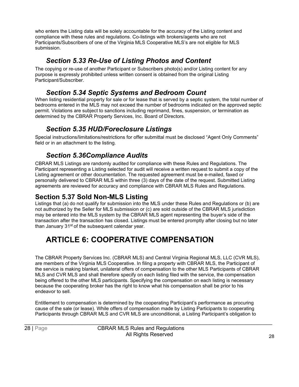who enters the Listing data will be solely accountable for the accuracy of the Listing content and compliance with these rules and regulations. Co-listings with brokers/agents who are not Participants/Subscribers of one of the Virginia MLS Cooperative MLS's are not eligible for MLS submission.

#### *Section 5.33 Re-Use of Listing Photos and Content*

<span id="page-31-0"></span>The copying or re-use of another Participant or Subscribers photo(s) and/or Listing content for any purpose is expressly prohibited unless written consent is obtained from the original Listing Participant/Subscriber.

#### *Section 5.34 Septic Systems and Bedroom Count*

<span id="page-31-1"></span>When listing residential property for sale or for lease that is served by a septic system, the total number of bedrooms entered in the MLS may not exceed the number of bedrooms indicated on the approved septic permit. Violations are subject to sanctions including reprimand, fines, suspension, or termination as determined by the CBRAR Property Services, Inc. Board of Directors.

#### *Section 5.35 HUD/Foreclosure Listings*

<span id="page-31-2"></span>Special instructions/limitations/restrictions for offer submittal must be disclosed "Agent Only Comments" field or in an attachment to the listing.

#### *Section 5.36Compliance Audits*

<span id="page-31-3"></span>CBRAR MLS Listings are randomly audited for compliance with these Rules and Regulations. The Participant representing a Listing selected for audit will receive a written request to submit a copy of the Listing agreement or other documentation. The requested agreement must be e-mailed, faxed or personally delivered to CBRAR MLS within three (3) days of the date of the request. Submitted Listing agreements are reviewed for accuracy and compliance with CBRAR MLS Rules and Regulations.

#### <span id="page-31-4"></span>**Section 5.37 Sold Non-MLS Listing**

Listings that (a) do not qualify for submission into the MLS under these Rules and Regulations or (b) are not authorized by the Seller for MLS submission or (c) are sold outside of the CBRAR MLS jurisdiction may be entered into the MLS system by the CBRAR MLS agent representing the buyer's side of the transaction after the transaction has closed. Listings must be entered promptly after closing but no later than January 31<sup>st</sup> of the subsequent calendar year.

# <span id="page-31-5"></span>**ARTICLE 6: COOPERATIVE COMPENSATION**

The CBRAR Property Services Inc. (CBRAR MLS) and Central Virginia Regional MLS, LLC (CVR MLS), are members of the Virginia MLS Cooperative. In filing a property with CBRAR MLS, the Participant of the service is making blanket, unilateral offers of compensation to the other MLS Participants of CBRAR MLS and CVR MLS and shall therefore specify on each listing filed with the service, the compensation being offered to the other MLS participants. Specifying the compensation on each listing is necessary because the cooperating broker has the right to know what his compensation shall be prior to his endeavor to sell.

Entitlement to compensation is determined by the cooperating Participant's performance as procuring cause of the sale (or lease). While offers of compensation made by Listing Participants to cooperating Participants through CBRAR MLS and CVR MLS are unconditional, a Listing Participant's obligation to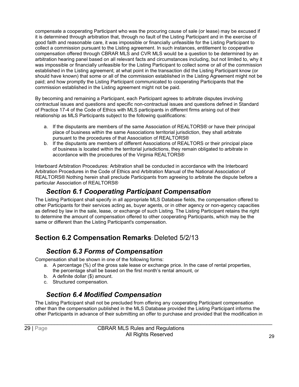compensate a cooperating Participant who was the procuring cause of sale (or lease) may be excused if it is determined through arbitration that, through no fault of the Listing Participant and in the exercise of good faith and reasonable care, it was impossible or financially unfeasible for the Listing Participant to collect a commission pursuant to the Listing agreement. In such instances, entitlement to cooperative compensation offered through CBRAR MLS and CVR MLS would be a question to be determined by an arbitration hearing panel based on all relevant facts and circumstances including, but not limited to, why it was impossible or financially unfeasible for the Listing Participant to collect some or all of the commission established in the Listing agreement; at what point in the transaction did the Listing Participant know (or should have known) that some or all of the commission established in the Listing Agreement might not be paid; and how promptly the Listing Participant communicated to cooperating Participants that the commission established in the Listing agreement might not be paid.

By becoming and remaining a Participant, each Participant agrees to arbitrate disputes involving contractual issues and questions and specific non-contractual issues and questions defined in Standard of Practice 17-4 of the Code of Ethics with MLS participants in different firms arising out of their relationship as MLS Participants subject to the following qualifications:

- a. If the disputants are members of the same Association of REALTORS® or have their principal place of business within the same Associations territorial jurisdiction, they shall arbitrate pursuant to the procedures of that Association of REALTORS®
- b. If the disputants are members of different Associations of REALTORS or their principal place of business is located within the territorial jurisdictions, they remain obligated to arbitrate in accordance with the procedures of the Virginia REALTORS®

Interboard Arbitration Procedures: Arbitration shall be conducted in accordance with the Interboard Arbitration Procedures in the Code of Ethics and Arbitration Manual of the National Association of REALTORS® Nothing herein shall preclude Participants from agreeing to arbitrate the dispute before a particular Association of REALTORS®

#### *Section 6.1 Cooperating Participant Compensation*

<span id="page-32-0"></span>The Listing Participant shall specify in all appropriate MLS Database fields, the compensation offered to other Participants for their services acting as, buyer agents, or in other agency or non-agency capacities as defined by law in the sale, lease, or exchange of such Listing. The Listing Participant retains the right to determine the amount of compensation offered to other cooperating Participants, which may be the same or different than the Listing Participant's compensation.

### **Section 6.2 Compensation Remarks**: Deleted 5/2/13

#### *Section 6.3 Forms of Compensation*

<span id="page-32-1"></span>Compensation shall be shown in one of the following forms:

- a. A percentage (%) of the gross sale lease or exchange price. In the case of rental properties, the percentage shall be based on the first month's rental amount, or
- b. A definite dollar (\$) amount.
- c. Structured compensation.

#### *Section 6.4 Modified Compensation*

<span id="page-32-2"></span>The Listing Participant shall not be precluded from offering any cooperating Participant compensation other than the compensation published in the MLS Database provided the Listing Participant informs the other Participants in advance of their submitting an offer to purchase and provided that the modification in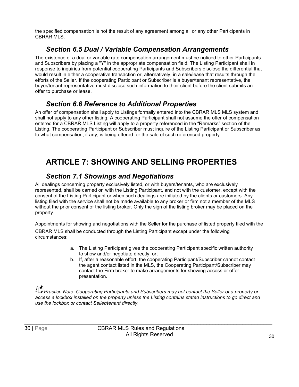the specified compensation is not the result of any agreement among all or any other Participants in CBRAR MLS.

#### *Section 6.5 Dual / Variable Compensation Arrangements*

<span id="page-33-0"></span>The existence of a dual or variable rate compensation arrangement must be noticed to other Participants and Subscribers by placing a "Y" in the appropriate compensation field. The Listing Participant shall in response to inquiries from potential cooperating Participants and Subscribers disclose the differential that would result in either a cooperative transaction or, alternatively, in a sale/lease that results through the efforts of the Seller. If the cooperating Participant or Subscriber is a buyer/tenant representative, the buyer/tenant representative must disclose such information to their client before the client submits an offer to purchase or lease.

#### *Section 6.6 Reference to Additional Properties*

<span id="page-33-1"></span>An offer of compensation shall apply to Listings formally entered into the CBRAR MLS MLS system and shall not apply to any other listing. A cooperating Participant shall not assume the offer of compensation entered for a CBRAR MLS Listing will apply to a property referenced in the "Remarks" section of the Listing. The cooperating Participant or Subscriber must inquire of the Listing Participant or Subscriber as to what compensation, if any, is being offered for the sale of such referenced property.

# <span id="page-33-2"></span>**ARTICLE 7: SHOWING AND SELLING PROPERTIES**

#### *Section 7.1 Showings and Negotiations*

<span id="page-33-3"></span>All dealings concerning property exclusively listed, or with buyers/tenants, who are exclusively represented, shall be carried on with the Listing Participant, and not with the customer, except with the consent of the Listing Participant or when such dealings are initiated by the clients or customers. Any listing filed with the service shall not be made available to any broker or firm not a member of the MLS without the prior consent of the listing broker. Only the sign of the listing broker may be placed on the property.

Appointments for showing and negotiations with the Seller for the purchase of listed property filed with the

CBRAR MLS shall be conducted through the Listing Participant except under the following circumstances:

- a. The Listing Participant gives the cooperating Participant specific written authority to show and/or negotiate directly, or;
- b. If, after a reasonable effort, the cooperating Participant/Subscriber cannot contact the agent contact listed in the MLS, the Cooperating Participant/Subscriber may contact the Firm broker to make arrangements for showing access or offer presentation.

*Practice Note: Cooperating Participants and Subscribers may not contact the Seller of a property or access a lockbox installed on the property unless the Listing contains stated instructions to go direct and use the lockbox or contact Seller/tenant directly.*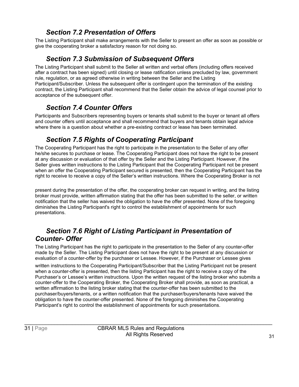#### *Section 7.2 Presentation of Offers*

<span id="page-34-0"></span>The Listing Participant shall make arrangements with the Seller to present an offer as soon as possible or give the cooperating broker a satisfactory reason for not doing so.

#### *Section 7.3 Submission of Subsequent Offers*

<span id="page-34-1"></span>The Listing Participant shall submit to the Seller all written and verbal offers (including offers received after a contract has been signed) until closing or lease ratification unless precluded by law, government rule, regulation, or as agreed otherwise in writing between the Seller and the Listing Participant/Subscriber. Unless the subsequent offer is contingent upon the termination of the existing contract, the Listing Participant shall recommend that the Seller obtain the advice of legal counsel prior to acceptance of the subsequent offer.

#### *Section 7.4 Counter Offers*

<span id="page-34-2"></span>Participants and Subscribers representing buyers or tenants shall submit to the buyer or tenant all offers and counter offers until acceptance and shall recommend that buyers and tenants obtain legal advice where there is a question about whether a pre-existing contract or lease has been terminated.

#### *Section 7.5 Rights of Cooperating Participant*

<span id="page-34-3"></span>The Cooperating Participant has the right to participate in the presentation to the Seller of any offer he/she secures to purchase or lease. The Cooperating Participant does not have the right to be present at any discussion or evaluation of that offer by the Seller and the Listing Participant. However, if the Seller gives written instructions to the Listing Participant that the Cooperating Participant not be present when an offer the Cooperating Participant secured is presented, then the Cooperating Participant has the right to receive to receive a copy of the Seller's written instructions. Where the Cooperating Broker is not

present during the presentation of the offer, the cooperating broker can request in writing, and the listing broker must provide, written affirmation stating that the offer has been submitted to the seller, or written notification that the seller has waived the obligation to have the offer presented. None of the foregoing diminishes the Listing Participant's right to control the establishment of appointments for such presentations.

#### <span id="page-34-4"></span>*Section 7.6 Right of Listing Participant in Presentation of Counter- Offer*

The Listing Participant has the right to participate in the presentation to the Seller of any counter-offer made by the Seller. The Listing Participant does not have the right to be present at any discussion or evaluation of a counter-offer by the purchaser or Lessee. However, if the Purchaser or Lessee gives

written instructions to the Cooperating Participant/Subscriber that the Listing Participant not be present when a counter-offer is presented, then the listing Participant has the right to receive a copy of the Purchaser's or Lessee's written instructions. Upon the written request of the listing broker who submits a counter-offer to the Cooperating Broker, the Cooperating Broker shall provide, as soon as practical, a written affirmation to the listing broker stating that the counter-offer has been submitted to the purchaser/buyers/tenants, or a written notification that the purchaser/buyers/tenants have waived the obligation to have the counter-offer presented. None of the foregoing diminishes the Cooperating Participant's right to control the establishment of appointments for such presentations.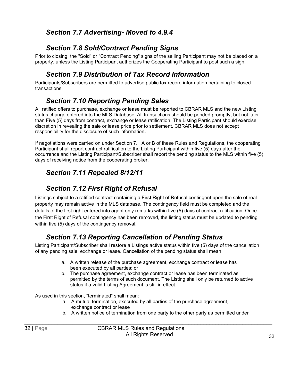#### <span id="page-35-0"></span>*Section 7.7 Advertising- Moved to 4.9.4*

#### *Section 7.8 Sold/Contract Pending Signs*

<span id="page-35-1"></span>Prior to closing, the "Sold" or "Contract Pending" signs of the selling Participant may not be placed on a property, unless the Listing Participant authorizes the Cooperating Participant to post such a sign.

### *Section 7.9 Distribution of Tax Record Information*

<span id="page-35-2"></span>Participants/Subscribers are permitted to advertise public tax record information pertaining to closed transactions.

#### *Section 7.10 Reporting Pending Sales*

<span id="page-35-3"></span>All ratified offers to purchase, exchange or lease must be reported to CBRAR MLS and the new Listing status change entered into the MLS Database. All transactions should be pended promptly, but not later than Five (5) days from contract, exchange or lease ratification. The Listing Participant should exercise discretion in revealing the sale or lease price prior to settlement. CBRAR MLS does not accept responsibility for the disclosure of such information**.**

If negotiations were carried on under Section 7.1 A or B of these Rules and Regulations, the cooperating Participant shall report contract ratification to the Listing Participant within five (5) days after the occurrence and the Listing Participant/Subscriber shall report the pending status to the MLS within five (5) days of receiving notice from the cooperating broker.

#### <span id="page-35-4"></span>*Section 7.11 Repealed 8/12/11*

#### *Section 7.12 First Right of Refusal*

<span id="page-35-5"></span>Listings subject to a ratified contract containing a First Right of Refusal contingent upon the sale of real property may remain active in the MLS database. The contingency field must be completed and the details of the first right entered into agent only remarks within five (5) days of contract ratification. Once the First Right of Refusal contingency has been removed, the listing status must be updated to pending within five (5) days of the contingency removal.

### *Section 7.13 Reporting Cancellation of Pending Status*

<span id="page-35-6"></span>Listing Participant/Subscriber shall restore a Listings active status within five (5) days of the cancellation of any pending sale, exchange or lease. Cancellation of the pending status shall mean:

- a. A written release of the purchase agreement, exchange contract or lease has been executed by all parties; or
- b. The purchase agreement, exchange contract or lease has been terminated as permitted by the terms of such document. The Listing shall only be returned to active status if a valid Listing Agreement is still in effect.

As used in this section, "terminated" shall mean:

- a. A mutual termination, executed by all parties of the purchase agreement, exchange contract or lease
- b. A written notice of termination from one party to the other party as permitted under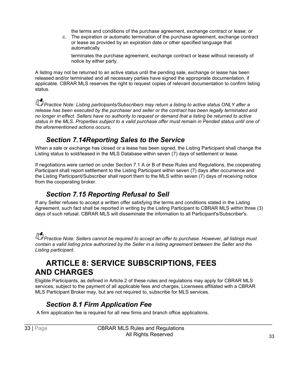the terms and conditions of the purchase agreement, exchange contract or lease; or

c. The expiration or automatic termination of the purchase agreement, exchange contract or lease as provided by an expiration date or other specified language that automatically

terminates the purchase agreement, exchange contract or lease without necessity of notice by either party.

A listing may not be returned to an active status until the pending sale, exchange or lease has been released and/or terminated and all necessary parties have signed the appropriate documentation, if applicable. CBRAR MLS reserves the right to request copies of relevant documentation to confirm listing status.

**Practice Note: Listing participants/Subscribers may return a listing to active status ONLY after a** *Practice Note: Listing participants/Subscribers may return a listing to active status ONLY after a release has been executed by the purchaser and seller or the contract has been legally terminated and no longer in effect. Sellers have no authority to request or demand that a listing be returned to active status in the MLS. Properties subject to a valid purchase offer must remain in Pended status until one of the aforementioned actions occurs***.**

#### *Section 7.14Reporting Sales to the Service*

<span id="page-36-0"></span>When a sale or exchange has closed or a lease has been signed, the Listing Participant shall change the Listing status to sold/leased in the MLS Database within seven (7) days of settlement or lease.

If negotiations were carried on under Section 7.1 A or B of these Rules and Regulations, the cooperating Participant shall report settlement to the Listing Participant within seven (7) days after occurrence and the Listing Participant/Subscriber shall report them to the MLS within seven (7) days of receiving notice from the cooperating broker.

#### *Section 7.15 Reporting Refusal to Sell*

<span id="page-36-1"></span>If any Seller refuses to accept a written offer satisfying the terms and conditions stated in the Listing Agreement, such fact shall be reported in writing by the Listing Participant to CBRAR MLS within three (3) days of such refusal. CBRAR MLS will disseminate the information to all Participant's/Subscriber's.

**Practice Note: Sellers cannot be required to accept an offer to purchase. However, all listings must** *contain a valid listing price authorized by the Seller in a listing agreement between the Seller and the Listing participant.*

### <span id="page-36-2"></span>**ARTICLE 8: SERVICE SUBSCRIPTIONS, FEES AND CHARGES**

Eligible Participants, as defined in Article 2 of these rules and regulations may apply for CBRAR MLS services, subject to the payment of all applicable fees and charges, Licensees affiliated with a CBRAR MLS Participant Broker may, but are not required to, subscribe for MLS services.

#### *Section 8.1 Firm Application Fee*

<span id="page-36-3"></span>A firm application fee is required for all new firms and branch office applications.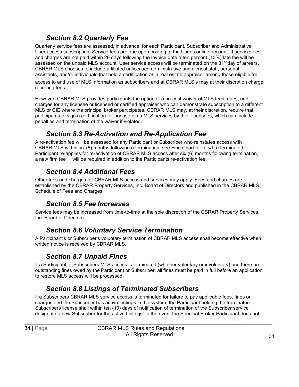#### *Section 8.2 Quarterly Fee*

<span id="page-37-0"></span>Quarterly service fees are assessed, in advance, for each Participant, Subscriber and Administrative User access subscription. Service fees are due upon posting to the User's online account. If service fees and charges are not paid within 20 days following the invoice date a ten percent (10%) late fee will be assessed on the unpaid MLS account. User service access will be terminated on the 31<sup>st</sup> day of arrears. CBRAR MLS chooses to include affiliated unlicensed administrative and clerical staff, personal assistants, and/or individuals that hold a certification as a real estate appraiser among those eligible for

access to and use of MLS information as subscribers and at CBRAR MLS's may at their discretion charge recurring fees.

However, CBRAR MLS provides participants the option of a no-cost waiver of MLS fees, dues, and charges for any licensee or licensed or certified appraiser who can demonstrate subscription to a different MLS or CIE where the principal broker participates. CBRAR MLS may, at their discretion, require that participants to sign a certification for nonuse of its MLS services by their licensees, which can include penalties and termination of the waiver if violated.

#### *Section 8.3 Re-Activation and Re-Application Fee*

<span id="page-37-1"></span>A re-activation fee will be assessed for any Participant or Subscriber who reinstates access with CBRAR MLS.within six (6) months following a termination, see Fine Chart for fee. If a terminated Participant re-applies for re-activation of CBRAR MLS access after six (6) months following terminationa new firm fee will be required in addition to the Participants re-activation fee.

#### *Section 8.4 Additional Fees*

<span id="page-37-2"></span>Other fees and charges for CBRAR MLS access and services may apply. Fees and charges are established by the CBRAR Property Services, Inc. Board of Directors and published in the CBRAR MLS Schedule of Fees and Charges.

#### *Section 8.5 Fee Increases*

<span id="page-37-3"></span>Service fees may be increased from time-to-time at the sole discretion of the CBRAR Property Services, Inc. Board of Directors.

#### *Section 8.6 Voluntary Service Termination*

<span id="page-37-4"></span>A Participant's or Subscriber's voluntary termination of CBRAR MLS access shall become effective when written notice is received by CBRAR MLS.

#### *Section 8.7 Unpaid Fines*

<span id="page-37-5"></span>If a Participant or Subscribers MLS access is terminated (whether voluntary or involuntary) and there are outstanding fines owed by the Participant or Subscriber, all fines must be paid in full before an application to restore MLS access will be processed.

#### *Section 8.8 Listings of Terminated Subscribers*

<span id="page-37-6"></span>If a Subscribers CBRAR MLS service access is terminated for failure to pay applicable fees, fines or charges and the Subscriber has active Listings in the system, the Participant holding the terminated Subscribers license shall within ten (10) days of notification of termination of the Subscriber service designate a new Subscriber for the active Listings. In the event the Principal Broker Participant does not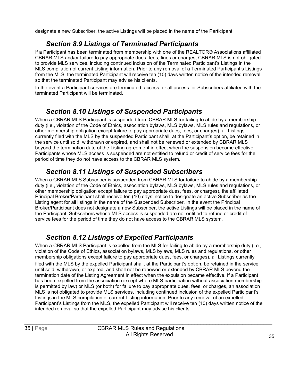designate a new Subscriber, the active Listings will be placed in the name of the Participant.

#### *Section 8.9 Listings of Terminated Participants*

<span id="page-38-0"></span>If a Participant has been terminated from membership with one of the REALTOR® Associations affiliated CBRAR MLS and/or failure to pay appropriate dues, fees, fines or charges, CBRAR MLS is not obligated to provide MLS services, including continued inclusion of the Terminated Participant's Listings in the MLS compilation of current Listing information. Prior to any removal of a Terminated Participant's Listings from the MLS, the terminated Participant will receive ten (10) days written notice of the intended removal so that the terminated Participant may advise his clients.

In the event a Participant services are terminated, access for all access for Subscribers affiliated with the terminated Participant will be terminated.

#### *Section 8.10 Listings of Suspended Participants*

<span id="page-38-1"></span>When a CBRAR MLS Participant is suspended from CBRAR MLS for failing to abide by a membership duty (i.e., violation of the Code of Ethics, association bylaws, MLS bylaws, MLS rules and regulations, or other membership obligation except failure to pay appropriate dues, fees, or charges), all Listings currently filed with the MLS by the suspended Participant shall, at the Participant's option, be retained in the service until sold, withdrawn or expired, and shall not be renewed or extended by CBRAR MLS beyond the termination date of the Listing agreement in effect when the suspension became effective. Participants whose MLS access is suspended are not entitled to refund or credit of service fees for the period of time they do not have access to the CBRAR MLS system.

#### *Section 8.11 Listings of Suspended Subscribers*

<span id="page-38-2"></span>When a CBRAR MLS Subscriber is suspended from CBRAR MLS for failure to abide by a membership duty (i.e., violation of the Code of Ethics, association bylaws, MLS bylaws, MLS rules and regulations, or other membership obligation except failure to pay appropriate dues, fees, or charges), the affiliated Principal Broker/Participant shall receive ten (10) days' notice to designate an active Subscriber as the Listing agent for all listings in the name of the Suspended Subscriber. In the event the Principal Broker/Participant does not designate a new Subscriber, the active Listings will be placed in the name of the Participant. Subscribers whose MLS access is suspended are not entitled to refund or credit of service fees for the period of time they do not have access to the CBRAR MLS system.

### *Section 8.12 Listings of Expelled Participants*

<span id="page-38-3"></span>When a CBRAR MLS Participant is expelled from the MLS for failing to abide by a membership duty (i.e., violation of the Code of Ethics, association bylaws, MLS bylaws, MLS rules and regulations, or other membership obligations except failure to pay appropriate dues, fees, or charges), all Listings currently

filed with the MLS by the expelled Participant shall, at the Participant's option, be retained in the service until sold, withdrawn, or expired, and shall not be renewed or extended by CBRAR MLS beyond the termination date of the Listing Agreement in effect when the expulsion became effective. If a Participant has been expelled from the association (except where MLS participation without association membership is permitted by law) or MLS (or both) for failure to pay appropriate dues, fees, or charges, an association MLS is not obligated to provide MLS services, including continued inclusion of the expelled Participant's Listings in the MLS compilation of current Listing information. Prior to any removal of an expelled Participant's Listings from the MLS, the expelled Participant will receive ten (10) days written notice of the intended removal so that the expelled Participant may advise his clients.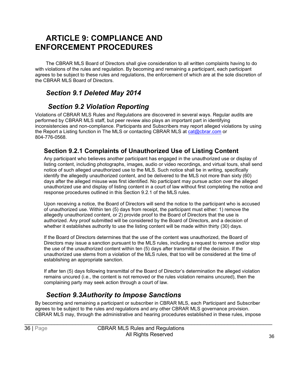# <span id="page-39-0"></span>**ARTICLE 9: COMPLIANCE AND ENFORCEMENT PROCEDURES**

<span id="page-39-1"></span>The CBRAR MLS Board of Directors shall give consideration to all written complaints having to do with violations of the rules and regulation. By becoming and remaining a participant, each participant agrees to be subject to these rules and regulations, the enforcement of which are at the sole discretion of the CBRAR MLS Board of Directors.

#### <span id="page-39-2"></span>*Section 9.1 Deleted May 2014*

#### *Section 9.2 Violation Reporting*

<span id="page-39-3"></span>Violations of CBRAR MLS Rules and Regulations are discovered in several ways. Regular audits are performed by CBRAR MLS staff, but peer review also plays an important part in identifying inconsistencies and non-compliance. Participants and Subscribers may report alleged violations by using the Report a Listing function in The MLS or contacting CBRAR MLS at  $cat@cbrar.com$  or 804-776-0568.

#### **Section 9.2.1 Complaints of Unauthorized Use of Listing Content**

Any participant who believes another participant has engaged in the unauthorized use or display of listing content, including photographs, images, audio or video recordings, and virtual tours, shall send notice of such alleged unauthorized use to the MLS. Such notice shall be in writing, specifically identify the allegedly unauthorized content, and be delivered to the MLS not more than sixty (60) days after the alleged misuse was first identified. No participant may pursue action over the alleged unauthorized use and display of listing content in a court of law without first completing the notice and response procedures outlined in this Section 9.2.1 of the MLS rules.

Upon receiving a notice, the Board of Directors will send the notice to the participant who is accused of unauthorized use. Within ten (5) days from receipt, the participant must either: 1) remove the allegedly unauthorized content, or 2) provide proof to the Board of Directors that the use is authorized. Any proof submitted will be considered by the Board of Directors, and a decision of whether it establishes authority to use the listing content will be made within thirty (30) days.

If the Board of Directors determines that the use of the content was unauthorized, the Board of Directors may issue a sanction pursuant to the MLS rules, including a request to remove and/or stop the use of the unauthorized content within ten (5) days after transmittal of the decision. If the unauthorized use stems from a violation of the MLS rules, that too will be considered at the time of establishing an appropriate sanction.

If after ten (5) days following transmittal of the Board of Director's determination the alleged violation remains uncured (i.e., the content is not removed or the rules violation remains uncured), then the complaining party may seek action through a court of law.

#### *Section 9.3Authority to Impose Sanctions*

<span id="page-39-4"></span>By becoming and remaining a participant or subscriber in CBRAR MLS, each Participant and Subscriber agrees to be subject to the rules and regulations and any other CBRAR MLS governance provision. CBRAR MLS may, through the administrative and hearing procedures established in these rules, impose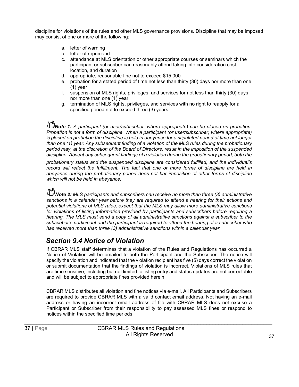discipline for violations of the rules and other MLS governance provisions. Discipline that may be imposed may consist of one or more of the following:

- a. letter of warning
- b. letter of reprimand
- c. attendance at MLS orientation or other appropriate courses or seminars which the participant or subscriber can reasonably attend taking into consideration cost, location, and duration
- d. appropriate, reasonable fine not to exceed \$15,000
- e. probation for a stated period of time not less than thirty (30) days nor more than one (1) year
- f. suspension of MLS rights, privileges, and services for not less than thirty (30) days nor more than one (1) year
- g. termination of MLS rights, privileges, and services with no right to reapply for a specified period not to exceed three (3) years.

*D***Note 1:** A participant (or user/subscriber, where appropriate) can be placed on probation. *Probation is not a form of discipline. When a participant (or user/subscriber, where appropriate) is placed on probation the discipline is held in abeyance for a stipulated period of time not longer than one (1) year. Any subsequent finding of a violation of the MLS rules during the probationary period may, at the discretion of the Board of Directors, result in the imposition of the suspended discipline. Absent any subsequent findings of a violation during the probationary period, both the*

*probationary status and the suspended discipline are considered fulfilled, and the individual's record will reflect the fulfillment. The fact that one or more forms of discipline are held in abeyance during the probationary period does not bar imposition of other forms of discipline which will not be held in abeyance.*

**Note 2:** MLS participants and subscribers can receive no more than three (3) administrative **Note 2:** MCS participants and subscribers can receive no more than three (3) administrative *sanctions in a calendar year before they are required to attend a hearing for their actions and potential violations of MLS rules, except that the MLS may allow more administrative sanctions for violations of listing information provided by participants and subscribers before requiring a hearing. The MLS must send a copy of all administrative sanctions against a subscriber to the subscriber's participant and the participant is required to attend the hearing of a subscriber who has received more than three (3) administrative sanctions within a calendar year.*

#### <span id="page-40-0"></span>*Section 9.4 Notice of Violation*

If CBRAR MLS staff determines that a violation of the Rules and Regulations has occurred a Notice of Violation will be emailed to both the Participant and the Subscriber. The notice will specify the violation and indicated that the violation recipient has five (5) days correct the violation or submit documentation that the findings of violation is incorrect. Violations of MLS rules that are time sensitive, including but not limited to listing entry and status updates are not correctable and will be subject to appropriate fines provided herein.

CBRAR MLS distributes all violation and fine notices via e-mail. All Participants and Subscribers are required to provide CBRAR MLS with a valid contact email address. Not having an e-mail address or having an incorrect email address of file with CBRAR MLS does not excuse a Participant or Subscriber from their responsibility to pay assessed MLS fines or respond to notices within the specified time periods.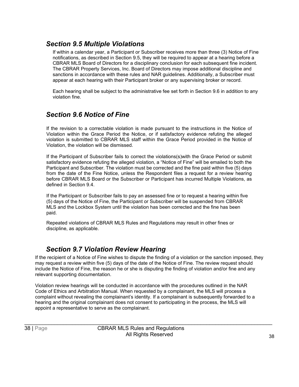#### <span id="page-41-0"></span>*Section 9.5 Multiple Violations*

If within a calendar year, a Participant or Subscriber receives more than three (3) Notice of Fine notifications, as described in Section 9.5, they will be required to appear at a hearing before a CBRAR MLS Board of Directors for a disciplinary conclusion for each subsequent fine incident. The CBRAR Property Services, Inc. Board of Directors may impose additional discipline and sanctions in accordance with these rules and NAR guidelines. Additionally, a Subscriber must appear at each hearing with their Participant broker or any supervising broker or record.

Each hearing shall be subject to the administrative fee set forth in Section 9.6 in addition to any violation fine.

#### <span id="page-41-1"></span>*Section 9.6 Notice of Fine*

If the revision to a correctable violation is made pursuant to the instructions in the Notice of Violation within the Grace Period the Notice, or if satisfactory evidence refuting the alleged violation is submitted to CBRAR MLS staff within the Grace Period provided in the Notice of Violation, the violation will be dismissed.

If the Participant of Subscriber fails to correct the violations(s)with the Grace Period or submit satisfactory evidence refuting the alleged violation, a "Notice of Fine" will be emailed to both the Participant and Subscriber. The violation must be corrected and the fine paid within five (5) days from the date of the Fine Notice, unless the Respondent files a request for a review hearing before CBRAR MLS Board or the Subscriber or Participant has incurred Multiple Violations, as defined in Section 9.4.

If the Participant or Subscriber fails to pay an assessed fine or to request a hearing within five (5) days of the Notice of Fine, the Participant or Subscriber will be suspended from CBRAR MLS and the Lockbox System until the violation has been corrected and the fine has been paid.

Repeated violations of CBRAR MLS Rules and Regulations may result in other fines or discipline, as applicable.

#### *Section 9.7 Violation Review Hearing*

<span id="page-41-2"></span>If the recipient of a Notice of Fine wishes to dispute the finding of a violation or the sanction imposed, they may request a review within five (5) days of the date of the Notice of Fine. The review request should include the Notice of Fine, the reason he or she is disputing the finding of violation and/or fine and any relevant supporting documentation.

Violation review hearings will be conducted in accordance with the procedures outlined in the NAR Code of Ethics and Arbitration Manual. When requested by a complainant, the MLS will process a complaint without revealing the complainant's identity. If a complainant is subsequently forwarded to a hearing and the original complainant does not consent to participating in the process, the MLS will appoint a representative to serve as the complainant.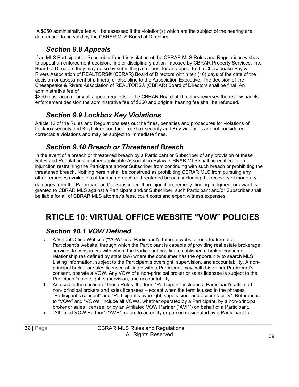A \$250 administrative fee will be assessed if the violation(s) which are the subject of the hearing are determined to be valid by the CBRAR MLS Board of Directors.

#### *Section 9.8 Appeals*

<span id="page-42-0"></span>If an MLS Participant or Subscriber found in violation of the CBRAR MLS Rules and Regulations wishes to appeal an enforcement decision, fine or disciplinary action imposed by CBRAR Property Services, Inc. Board of Directors they may do so by submitting a request for an appeal to the Chesapeake Bay & Rivers Association of REALTORS® (CBRAR) Board of Directors within ten (10) days of the date of the decision or assessment of a fine(s) or discipline to the Association Executive. The decision of the Chesapeake & Rivers Association of REALTORS® (CBRAR) Board of Directors shall be final. An administrative fee of

\$250 must accompany all appeal requests. If the CBRAR Board of Directors reverses the review panels enforcement decision the administrative fee of \$250 and original hearing fee shall be refunded.

#### *Section 9.9 Lockbox Key Violations*

<span id="page-42-1"></span>Article 12 of the Rules and Regulations sets out the fines, penalties and procedures for violations of Lockbox security and Keyholder conduct. Lockbox security and Key violations are not considered correctable violations and may be subject to immediate fines.

#### *Section 9.10 Breach or Threatened Breach*

<span id="page-42-2"></span>In the event of a breach or threatened breach by a Participant or Subscriber of any provision of these Rules and Regulations or other applicable Association Bylaw, CBRAR MLS shall be entitled to an injunction restraining the Participant and/or Subscriber from continuing with such breach or prohibiting the threatened breach. Nothing herein shall be construed as prohibiting CBRAR MLS from pursuing any other remedies available to it for such breach or threatened breach, including the recovery of monetary

damages from the Participant and/or Subscriber. If an injunction, remedy, finding, judgment or award is granted to CBRAR MLS against a Participant and/or Subscriber, such Participant and/or Subscriber shall be liable for all of CBRAR MLS attorney's fees, court costs and expert witness expenses.

# <span id="page-42-3"></span>**RTICLE 10: VIRTUAL OFFICE WEBSITE "VOW" POLICIES**

#### <span id="page-42-4"></span>*Section 10.1 VOW Defined*

- a. A Virtual Office Website ("VOW") is a Participant's Internet website, or a feature of a Participant's website, through which the Participant is capable of providing real estate brokerage services to consumers with whom the Participant has first established a broker-consumer relationship (as defined by state law) where the consumer has the opportunity to search MLS Listing Information, subject to the Participant's oversight, supervision, and accountability. A nonprincipal broker or sales licensee affiliated with a Participant may, with his or her Participant's consent, operate a VOW. Any VOW of a non-principal broker or sales licensee is subject to the Participant's oversight, supervision, and accountability.
- b. As used in the section of these Rules, the term "Participant" includes a Participant's affiliated non- principal brokers and sales licensees – except when the term is used in the phrases "Participant's consent" and "Participant's oversight, supervision, and accountability". References to "VOW" and "VOWs" include all VOWs, whether operated by a Participant, by a non-principal broker or sales licensee, or by an Affiliated VOW Partner ("AVP") on behalf of a Participant.
- c. "Affiliated VOW Partner" ("AVP") refers to an entity or person designated by a Participant to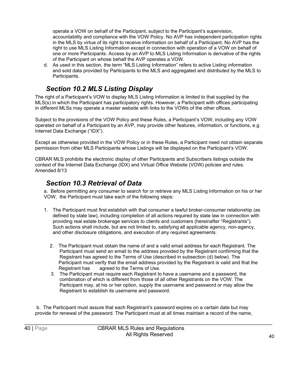operate a VOW on behalf of the Participant, subject to the Participant's supervision, accountability and compliance with the VOW Policy. No AVP has independent participation rights in the MLS by virtue of its right to receive information on behalf of a Participant. No AVP has the right to use MLS Listing Information except in connection with operation of a VOW on behalf of one or more Participants. Access by an AVP to MLS Listing Information is derivative of the rights of the Participant on whose behalf the AVP operates a VOW.

d. As used in this section, the term "MLS Listing Information" refers to active Listing information and sold data provided by Participants to the MLS and aggregated and distributed by the MLS to Participants.

#### *Section 10.2 MLS Listing Display*

<span id="page-43-0"></span>The right of a Participant's VOW to display MLS Listing Information is limited to that supplied by the MLS(s) in which the Participant has participatory rights. However, a Participant with offices participating in different MLSs may operate a master website with links to the VOWs of the other offices.

Subject to the provisions of the VOW Policy and these Rules, a Participant's VOW, including any VOW operated on behalf of a Participant by an AVP, may provide other features, information, or functions, e.g. Internet Data Exchange ("IDX").

Except as otherwise provided in the VOW Policy or in these Rules, a Participant need not obtain separate permission from other MLS Participants whose Listings will be displayed on the Participant's VOW.

CBRAR MLS prohibits the electronic display of other Participants and Subscribers listings outside the context of the Internet Data Exchange (IDX) and Virtual Office Website (VOW) policies and rules. Amended 8/13

#### *Section 10.3 Retrieval of Data*

<span id="page-43-1"></span>a. Before permitting any consumer to search for or retrieve any MLS Listing Information on his or her VOW, the Participant must take each of the following steps:

- 1. The Participant must first establish with that consumer a lawful broker-consumer relationship (as defined by state law), including completion of all actions required by state law in connection with providing real estate brokerage services to clients and customers (hereinafter "Registrants"). Such actions shall include, but are not limited to, satisfying all applicable agency, non-agency, and other disclosure obligations, and execution of any required agreements.
	- 2. The Participant must obtain the name of and a valid email address for each Registrant. The Participant must send an email to the address provided by the Registrant confirming that the Registrant has agreed to the Terms of Use (described in subsection (d) below). The Participant must verify that the email address provided by the Registrant is valid and that the Registrant has agreed to the Terms of Use.
	- 3. The Participant must require each Registrant to have a username and a password, the combination of which is different from those of all other Registrants on the VOW. The Participant may, at his or her option, supply the username and password or may allow the Registrant to establish its username and password.

b. The Participant must assure that each Registrant's password expires on a certain date but may provide for renewal of the password. The Participant must at all times maintain a record of the name,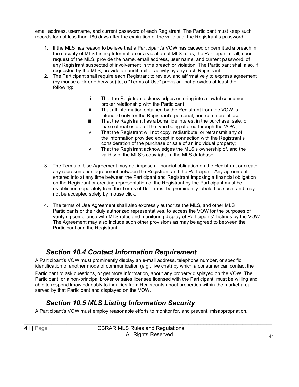email address, username, and current password of each Registrant. The Participant must keep such records for not less than 180 days after the expiration of the validity of the Registrant's password.

- 1. If the MLS has reason to believe that a Participant's VOW has caused or permitted a breach in the security of MLS Listing Information or a violation of MLS rules, the Participant shall, upon request of the MLS, provide the name, email address, user name, and current password, of any Registrant suspected of involvement in the breach or violation. The Participant shall also, if requested by the MLS, provide an audit trail of activity by any such Registrant.
- 2. The Participant shall require each Registrant to review, and affirmatively to express agreement (by mouse click or otherwise) to, a "Terms of Use" provision that provides at least the following:
	- i. That the Registrant acknowledges entering into a lawful consumerbroker relationship with the Participant
	- ii. That all information obtained by the Registrant from the VOW is intended only for the Registrant's personal, non-commercial use
	- iii. That the Registrant has a bona fide interest in the purchase, sale, or lease of real estate of the type being offered through the VOW;
	- iv. That the Registrant will not copy, redistribute, or retransmit any of the information provided except in connection with the Registrant's consideration of the purchase or sale of an individual property;
	- v. That the Registrant acknowledges the MLS's ownership of, and the validity of the MLS's copyright in, the MLS database.
- 3. The Terms of Use Agreement may not impose a financial obligation on the Registrant or create any representation agreement between the Registrant and the Participant. Any agreement entered into at any time between the Participant and Registrant imposing a financial obligation on the Registrant or creating representation of the Registrant by the Participant must be established separately from the Terms of Use, must be prominently labeled as such, and may not be accepted solely by mouse click.
- 4. The terms of Use Agreement shall also expressly authorize the MLS, and other MLS Participants or their duly authorized representatives, to access the VOW for the purposes of verifying compliance with MLS rules and monitoring display of Participants' Listings by the VOW. The Agreement may also include such other provisions as may be agreed to between the Participant and the Registrant.

#### *Section 10.4 Contact Information Requirement*

<span id="page-44-0"></span>A Participant's VOW must prominently display an e-mail address, telephone number, or specific identification of another mode of communication (e.g., live chat) by which a consumer can contact the

Participant to ask questions, or get more information, about any property displayed on the VOW. The Participant, or a non-principal broker or sales licensee licensed with the Participant, must be willing and able to respond knowledgeably to inquiries from Registrants about properties within the market area served by that Participant and displayed on the VOW.

#### *Section 10.5 MLS Listing Information Security*

<span id="page-44-1"></span>A Participant's VOW must employ reasonable efforts to monitor for, and prevent, misappropriation,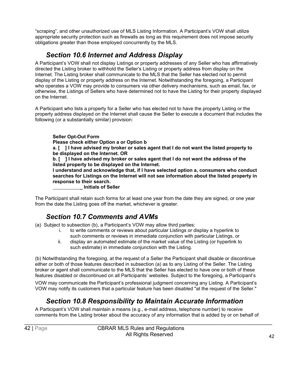"scraping", and other unauthorized use of MLS Listing Information. A Participant's VOW shall utilize appropriate security protection such as firewalls as long as this requirement does not impose security obligations greater than those employed concurrently by the MLS.

#### *Section 10.6 Internet and Address Display*

<span id="page-45-0"></span>A Participant's VOW shall not display Listings or property addresses of any Seller who has affirmatively directed the Listing broker to withhold the Seller's Listing or property address from display on the Internet. The Listing broker shall communicate to the MLS that the Seller has elected not to permit display of the Listing or property address on the Internet. Notwithstanding the foregoing, a Participant who operates a VOW may provide to consumers via other delivery mechanisms, such as email, fax, or otherwise, the Listings of Sellers who have determined not to have the Listing for their property displayed on the Internet.

A Participant who lists a property for a Seller who has elected not to have the property Listing or the property address displayed on the Internet shall cause the Seller to execute a document that includes the following (or a substantially similar) provision:

#### **Seller Opt-Out Form**

**Please check either Option a or Option b**

**a. [ ] I have advised my broker or sales agent that I do not want the listed property to be displayed on the Internet. OR**

**b. [ ] I have advised my broker or sales agent that I do not want the address of the listed property to be displayed on the Internet.**

**I understand and acknowledge that, if I have selected option a, consumers who conduct searches for Listings on the Internet will not see information about the listed property in response to their search.**

**\_ Initials of Seller**

The Participant shall retain such forms for at least one year from the date they are signed, or one year from the date the Listing goes off the market, whichever is greater.

#### *Section 10.7 Comments and AVMs*

<span id="page-45-1"></span>(a) Subject to subsection (b), a Participant's VOW may allow third parties:

- i. to write comments or reviews about particular Listings or display a hyperlink to such comments or reviews in immediate conjunction with particular Listings, or
- ii. display an automated estimate of the market value of the Listing (or hyperlink to such estimate) in immediate conjunction with the Listing.

(b) Notwithstanding the foregoing, at the request of a Seller the Participant shall disable or discontinue either or both of those features described in subsection (a) as to any Listing of the Seller. The Listing broker or agent shall communicate to the MLS that the Seller has elected to have one or both of these features disabled or discontinued on all Participants' websites. Subject to the foregoing, a Participant's

VOW may communicate the Participant's professional judgment concerning any Listing. A Participant's VOW may notify its customers that a particular feature has been disabled "at the request of the Seller."

#### *Section 10.8 Responsibility to Maintain Accurate Information*

<span id="page-45-2"></span>A Participant's VOW shall maintain a means (e.g., e-mail address, telephone number) to receive comments from the Listing broker about the accuracy of any information that is added by or on behalf of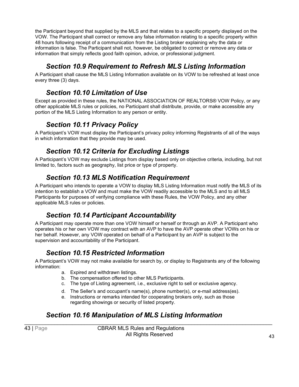the Participant beyond that supplied by the MLS and that relates to a specific property displayed on the VOW. The Participant shall correct or remove any false information relating to a specific property within 48 hours following receipt of a communication from the Listing broker explaining why the data or information is false. The Participant shall not, however, be obligated to correct or remove any data or information that simply reflects good faith opinion, advice, or professional judgment.

#### *Section 10.9 Requirement to Refresh MLS Listing Information*

<span id="page-46-0"></span>A Participant shall cause the MLS Listing Information available on its VOW to be refreshed at least once every three (3) days.

#### *Section 10.10 Limitation of Use*

<span id="page-46-1"></span>Except as provided in these rules, the NATIONAL ASSOCIATION OF REALTORS® VOW Policy, or any other applicable MLS rules or policies, no Participant shall distribute, provide, or make accessible any portion of the MLS Listing Information to any person or entity.

#### *Section 10.11 Privacy Policy*

<span id="page-46-2"></span>A Participant's VOW must display the Participant's privacy policy informing Registrants of all of the ways in which information that they provide may be used.

#### *Section 10.12 Criteria for Excluding Listings*

<span id="page-46-3"></span>A Participant's VOW may exclude Listings from display based only on objective criteria, including, but not limited to, factors such as geography, list price or type of property.

#### *Section 10.13 MLS Notification Requirement*

<span id="page-46-4"></span>A Participant who intends to operate a VOW to display MLS Listing Information must notify the MLS of its intention to establish a VOW and must make the VOW readily accessible to the MLS and to all MLS Participants for purposes of verifying compliance with these Rules, the VOW Policy, and any other applicable MLS rules or policies.

#### *Section 10.14 Participant Accountability*

<span id="page-46-5"></span>A Participant may operate more than one VOW himself or herself or through an AVP. A Participant who operates his or her own VOW may contract with an AVP to have the AVP operate other VOWs on his or her behalf. However, any VOW operated on behalf of a Participant by an AVP is subject to the supervision and accountability of the Participant.

#### *Section 10.15 Restricted Information*

<span id="page-46-6"></span>A Participant's VOW may not make available for search by, or display to Registrants any of the following information:

- a. Expired and withdrawn listings.
- b. The compensation offered to other MLS Participants.
- c. The type of Listing agreement, i.e., exclusive right to sell or exclusive agency.
- d. The Seller's and occupant's name(s), phone number(s), or e-mail address(es).
- e. Instructions or remarks intended for cooperating brokers only, such as those regarding showings or security of listed property.

#### <span id="page-46-7"></span>*Section 10.16 Manipulation of MLS Listing Information*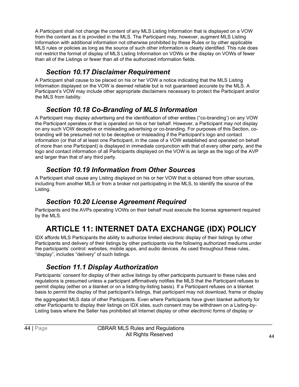A Participant shall not change the content of any MLS Listing Information that is displayed on a VOW from the content as it is provided in the MLS. The Participant may, however, augment MLS Listing Information with additional information not otherwise prohibited by these Rules or by other applicable MLS rules or policies as long as the source of such other information is clearly identified. This rule does not restrict the format of display of MLS Listing Information on VOWs or the display on VOWs of fewer than all of the Listings or fewer than all of the authorized information fields.

#### *Section 10.17 Disclaimer Requirement*

<span id="page-47-0"></span>A Participant shall cause to be placed on his or her VOW a notice indicating that the MLS Listing Information displayed on the VOW is deemed reliable but is not guaranteed accurate by the MLS. A Participant's VOW may include other appropriate disclaimers necessary to protect the Participant and/or the MLS from liability.

#### *Section 10.18 Co-Branding of MLS Information*

<span id="page-47-1"></span>A Participant may display advertising and the identification of other entities ("co-branding') on any VOW the Participant operates or that is operated on his or her behalf. However, a Participant may not display on any such VOW deceptive or misleading advertising or co-branding. For purposes of this Section, cobranding will be presumed not to be deceptive or misleading if the Participant's logo and contact information (or that of at least one Participant, in the case of a VOW established and operated on behalf of more than one Participant) is displayed in immediate conjunction with that of every other party, and the logo and contact information of all Participants displayed on the VOW is as large as the logo of the AVP and larger than that of any third party.

#### *Section 10.19 Information from Other Sources*

<span id="page-47-2"></span>A Participant shall cause any Listing displayed on his or her VOW that is obtained from other sources, including from another MLS or from a broker not participating in the MLS, to identify the source of the Listing.

#### *Section 10.20 License Agreement Required*

<span id="page-47-3"></span>Participants and the AVPs operating VOWs on their behalf must execute the license agreement required by the MLS.

# **ARTICLE 11: INTERNET DATA EXCHANGE (IDX) POLICY**

<span id="page-47-4"></span>IDX affords MLS Participants the ability to authorize limited electronic display of their listings by other Participants and delivery of their listings by other participants via the following authorized mediums under the participants' control: websites, mobile apps, and audio devices. As used throughout these rules, "display", includes "delivery" of such listings.

#### *Section 11.1 Display Authorization*

<span id="page-47-5"></span>Participants' consent for display of their active listings by other participants pursuant to these rules and regulations is presumed unless a participant affirmatively notifies the MLS that the Participant refuses to permit display (either on a blanket or on a listing-by-listing basis). If a Participant refuses on a blanket basis to permit the display of that participant's listings, that participant may not download, frame or display

the aggregated MLS data of other Participants. Even where Participants have given blanket authority for other Participants to display their listings on IDX sites, such consent may be withdrawn on a Listing-by-Listing basis where the Seller has prohibited all Internet display or other electronic forms of display or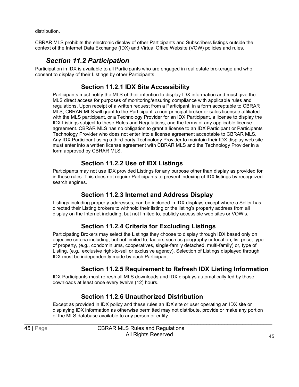distribution.

CBRAR MLS prohibits the electronic display of other Participants and Subscribers listings outside the context of the Internet Data Exchange (IDX) and Virtual Office Website (VOW) policies and rules.

#### *Section 11.2 Participation*

<span id="page-48-0"></span>Participation in IDX is available to all Participants who are engaged in real estate brokerage and who consent to display of their Listings by other Participants.

#### **Section 11.2.1 IDX Site Accessibility**

Participants must notify the MLS of their intention to display IDX information and must give the MLS direct access for purposes of monitoring/ensuring compliance with applicable rules and regulations. Upon receipt of a written request from a Participant, in a form acceptable to CBRAR MLS, CBRAR MLS will grant to the Participant, a non-principal broker or sales licensee affiliated with the MLS participant, or a Technology Provider for an IDX Participant, a license to display the IDX Listings subject to these Rules and Regulations, and the terms of any applicable license agreement. CBRAR MLS has no obligation to grant a license to an IDX Participant or Participants Technology Provider who does not enter into a license agreement acceptable to CBRAR MLS. Any IDX Participant using a third-party Technology Provider to maintain their IDX display web site must enter into a written license agreement with CBRAR MLS and the Technology Provider in a form approved by CBRAR MLS.

#### **Section 11.2.2 Use of IDX Listings**

Participants may not use IDX provided Listings for any purpose other than display as provided for in these rules. This does not require Participants to prevent indexing of IDX listings by recognized search engines.

#### **Section 11.2.3 Internet and Address Display**

Listings including property addresses, can be included in IDX displays except where a Seller has directed their Listing brokers to withhold their listing or the listing's property address from all display on the Internet including, but not limited to, publicly accessible web sites or VOW's.

#### **Section 11.2.4 Criteria for Excluding Listings**

Participating Brokers may select the Listings they choose to display through IDX based only on objective criteria including, but not limited to, factors such as geography or location, list price, type of property, (e.g., condominiums, cooperatives, single-family detached, multi-family) or, type of Listing, (e.g., exclusive right-to-sell or exclusive agency). Selection of Listings displayed through IDX must be independently made by each Participant.

#### **Section 11.2.5 Requirement to Refresh IDX Listing Information**

IDX Participants must refresh all MLS downloads and IDX displays automatically fed by those downloads at least once every twelve (12) hours.

#### **Section 11.2.6 Unauthorized Distribution**

Except as provided in IDX policy and these rules an IDX site or user operating an IDX site or displaying IDX information as otherwise permitted may not distribute, provide or make any portion of the MLS database available to any person or entity.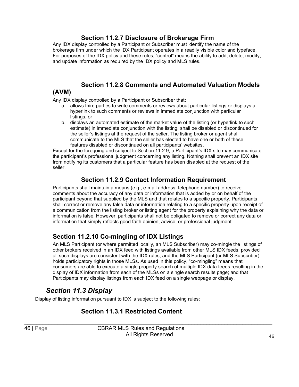#### **Section 11.2.7 Disclosure of Brokerage Firm**

Any IDX display controlled by a Participant or Subscriber must identify the name of the brokerage firm under which the IDX Participant operates in a readily visible color and typeface. For purposes of the IDX policy and these rules, "control" means the ability to add, delete, modify, and update information as required by the IDX policy and MLS rules.

# **Section 11.2.8 Comments and Automated Valuation Models**

#### **(AVM)**

Any IDX display controlled by a Participant or Subscriber that**:**

- a. allows third parties to write comments or reviews about particular listings or displays a hyperlink to such comments or reviews in immediate conjunction with particular listings, or
- b. displays an automated estimate of the market value of the listing (or hyperlink to such estimate) in immediate conjunction with the listing, shall be disabled or discontinued for the seller's listings at the request of the seller. The listing broker or agent shall communicate to the MLS that the seller has elected to have one or both of these features disabled or discontinued on all participants' websites.

Except for the foregoing and subject to Section 11.2.9, a Participant's IDX site may communicate the participant's professional judgment concerning any listing. Nothing shall prevent an IDX site from notifying its customers that a particular feature has been disabled at the request of the seller.

#### **Section 11.2.9 Contact Information Requirement**

Participants shall maintain a means (e.g., e-mail address, telephone number) to receive comments about the accuracy of any data or information that is added by or on behalf of the participant beyond that supplied by the MLS and that relates to a specific property. Participants shall correct or remove any false data or information relating to a specific property upon receipt of a communication from the listing broker or listing agent for the property explaining why the data or information is false. However, participants shall not be obligated to remove or correct any data or information that simply reflects good faith opinion, advice, or professional judgment.

#### **Section 11.2.10 Co-mingling of IDX Listings**

An MLS Participant (or where permitted locally, an MLS Subscriber) may co-mingle the listings of other brokers received in an IDX feed with listings available from other MLS IDX feeds, provided all such displays are consistent with the IDX rules, and the MLS Participant (or MLS Subscriber) holds participatory rights in those MLSs. As used in this policy, "co-mingling" means that consumers are able to execute a single property search of multiple IDX data feeds resulting in the display of IDX information from each of the MLSs on a single search results page; and that Participants may display listings from each IDX feed on a single webpage or display.

#### *Section 11.3 Display*

<span id="page-49-0"></span>Display of listing information pursuant to IDX is subject to the following rules:

#### **Section 11.3.1 Restricted Content**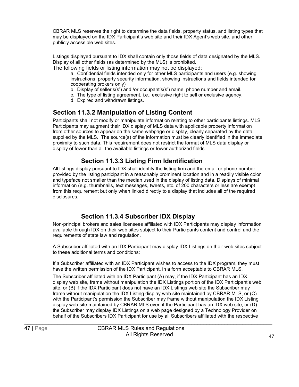CBRAR MLS reserves the right to determine the data fields, property status, and listing types that may be displayed on the IDX Participant's web site and their IDX Agent's web site, and other publicly accessible web sites.

Listings displayed pursuant to IDX shall contain only those fields of data designated by the MLS. Display of all other fields (as determined by the MLS) is prohibited.

The following fields or listing information may not be displayed:

a. Confidential fields intended only for other MLS participants and users (e.g. showing instructions, property security information, showing instructions and fields intended for cooperating brokers only)

- b. Display of seller's(s') and /or occupant's(s') name, phone number and email.
- c. The type of listing agreement, i.e., exclusive right to sell or exclusive agency.
	- d. Expired and withdrawn listings.

#### **Section 11.3.2 Manipulation of Listing Content**

Participants shall not modify or manipulate information relating to other participants listings. MLS Participants may augment their IDX display of MLS data with applicable property information from other sources to appear on the same webpage or display, clearly separated by the data supplied by the MLS. The source(s) of the information must be clearly identified in the immediate proximity to such data. This requirement does not restrict the format of MLS data display or display of fewer than all the available listings or fewer authorized fields.

#### **Section 11.3.3 Listing Firm Identification**

All listings display pursuant to IDX shall identify the listing firm and the email or phone number provided by the listing participant in a reasonably prominent location and in a readily visible color and typeface not smaller than the median used in the display of listing data. Displays of minimal information (e.g. thumbnails, text messages, tweets, etc. of 200 characters or less are exempt from this requirement but only when linked directly to a display that includes all of the required disclosures.

#### **Section 11.3.4 Subscriber IDX Display**

Non-principal brokers and sales licensees affiliated with IDX Participants may display information available through IDX on their web sites subject to their Participants content and control and the requirements of state law and regulation.

A Subscriber affiliated with an IDX Participant may display IDX Listings on their web sites subject to these additional terms and conditions:

If a Subscriber affiliated with an IDX Participant wishes to access to the IDX program, they must have the written permission of the IDX Participant, in a form acceptable to CBRAR MLS.

The Subscriber affiliated with an IDX Participant (A) may, if the IDX Participant has an IDX display web site, frame without manipulation the IDX Listings portion of the IDX Participant's web site, or (B) if the IDX Participant does not have an IDX Listings web site the Subscriber may frame without manipulation the IDX Listing display web site maintained by CBRAR MLS, or (C) with the Participant's permission the Subscriber may frame without manipulation the IDX Listing display web site maintained by CBRAR MLS even if the Participant has an IDX web site, or (D) the Subscriber may display IDX Listings on a web page designed by a Technology Provider on behalf of the Subscribers IDX Participant for use by all Subscribers affiliated with the respective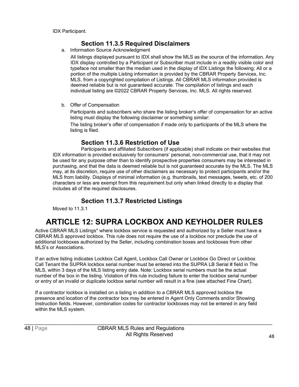#### **Section 11.3.5 Required Disclaimers**

a. Information Source Acknowledgment

All listings displayed pursuant to IDX shall show the MLS as the source of the information. Any IDX display controlled by a Participant or Subscriber must include in a readily visible color and typeface not smaller than the median used in the display of IDX Listings the following: All or a portion of the multiple Listing information is provided by the CBRAR Property Services, Inc. MLS, from a copyrighted compilation of Listings. All CBRAR MLS information provided is deemed reliable but is not guaranteed accurate. The compilation of listings and each individual listing are ©2022 CBRAR Property Services, Inc. MLS. All rights reserved.

b. Offer of Compensation

Participants and subscribers who share the listing broker's offer of compensation for an active listing must display the following disclaimer or something similar:

The listing broker's offer of compensation if made only to participants of the MLS where the listing is filed.

#### **Section 11.3.6 Restriction of Use**

Participants and affiliated Subscribers (if applicable) shall indicate on their websites that IDX information is provided exclusively for consumers' personal, non-commercial use, that it may not be used for any purpose other than to identify prospective properties consumers may be interested in purchasing, and that the data is deemed reliable but is not guaranteed accurate by the MLS. The MLS may, at its discretion, require use of other disclaimers as necessary to protect participants and/or the MLS from liability. Displays of minimal information (e.g. thumbnails, text messages, tweets, etc. of 200 characters or less are exempt from this requirement but only when linked directly to a display that includes all of the required disclosures.

#### **Section 11.3.7 Restricted Listings**

Moved to 11.3.1

# **ARTICLE 12: SUPRA LOCKBOX AND KEYHOLDER RULES**

<span id="page-51-0"></span>Active CBRAR MLS Listings\* where lockbox service is requested and authorized by a Seller must have a CBRAR MLS approved lockbox. This rule does not require the use of a lockbox nor preclude the use of additional lockboxes authorized by the Seller, including combination boxes and lockboxes from other MLS's or Associations.

If an active listing indicates Lockbox Call Agent, Lockbox Call Owner or Lockbox Go Direct or Lockbox Call Tenant the SUPRA lockbox serial number must be entered into the SUPRA LB Serial # field in The MLS, within 3 days of the MLS listing entry date. Note: Lockbox serial numbers must be the actual number of the box in the listing. Violation of this rule including failure to enter the lockbox serial number or entry of an invalid or duplicate lockbox serial number will result in a fine (see attached Fine Chart).

If a contractor lockbox is installed on a listing in addition to a CBRAR MLS approved lockbox the presence and location of the contractor box may be entered in Agent Only Comments and/or Showing Instruction fields. However, combination codes for contractor lockboxes may not be entered in any field within the MLS system.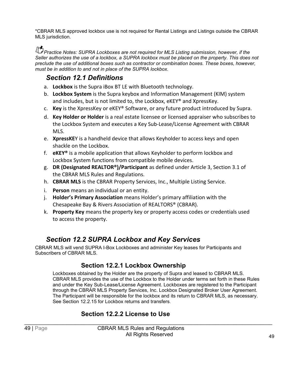\*CBRAR MLS approved lockbox use is not required for Rental Listings and Listings outside the CBRAR MLS jurisdiction.

*PP Practice Notes: SUPRA Lockboxes are not required for MLS Listing submission, however, if the Seller authorizes the use of a lockbox, a SUPRA lockbox must be placed on the property. This does not preclude the use of additional boxes such as contractor or combination boxes. These boxes, however, must be in addition to and not in place of the SUPRA lockbox.*

#### <span id="page-52-0"></span>*Section 12.1 Definitions*

- a. **Lockbox** is the Supra iBox BT LE with Bluetooth technology.
- b. **Lockbox System** is the Supra keybox and Information Management (KIM) system and includes, but is not limited to, the Lockbox, eKEY® and XpressKey.
- c. **Key** is the XpressKey or eKEY® Software, or any future product introduced by Supra.
- d. **Key Holder or Holder** is a real estate licensee or licensed appraiser who subscribes to the Lockbox System and executes a Key Sub-Lease/License Agreement with CBRAR MLS.
- e. **XpressKE**Y is a handheld device that allows Keyholder to access keys and open shackle on the Lockbox.
- f. **eKEY®** is a mobile application that allows Keyholder to perform lockbox and Lockbox System functions from compatible mobile devices.
- g. **DR (Designated REALTOR®)/Participant** as defined under Article 3, Section 3.1 of the CBRAR MLS Rules and Regulations.
- h. **CBRAR MLS** is the CBRAR Property Services, Inc., Multiple Listing Service.
- i. **Person** means an individual or an entity.
- j. **Holder's Primary Association** means Holder's primary affiliation with the Chesapeake Bay & Rivers Association of REALTORS® (CBRAR).
- k. **Property Key** means the property key or property access codes or credentials used to access the property.

#### *Section 12.2 SUPRA Lockbox and Key Services*

<span id="page-52-1"></span>CBRAR MLS will vend SUPRA I-Box Lockboxes and administer Key leases for Participants and Subscribers of CBRAR MLS.

#### **Section 12.2.1 Lockbox Ownership**

Lockboxes obtained by the Holder are the property of Supra and leased to CBRAR MLS. CBRAR MLS provides the use of the Lockbox to the Holder under terms set forth in these Rules and under the Key Sub-Lease/License Agreement. Lockboxes are registered to the Participant through the CBRAR MLS Property Services, Inc. Lockbox Designated Broker User Agreement. The Participant will be responsible for the lockbox and its return to CBRAR MLS, as necessary. See Section 12.2.15 for Lockbox returns and transfers.

#### **Section 12.2.2 License to Use**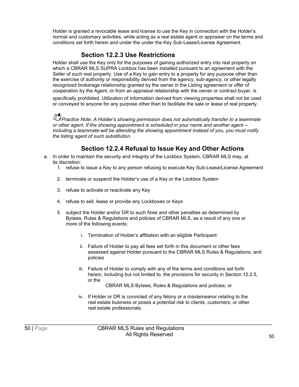Holder is granted a revocable lease and license to use the Key in connection with the Holder's normal and customary activities, while acting as a real estate agent or appraiser on the terms and conditions set forth herein and under the under the Key Sub-Lease/License Agreement.

#### **Section 12.2.3 Use Restrictions**

Holder shall use the Key only for the purposes of gaining authorized entry into real property on which a CBRAR MLS SUPRA Lockbox has been installed pursuant to an agreement with the Seller of such real property. Use of a Key to gain entry to a property for any purpose other than the exercise of authority or responsibility derived from the agency, sub-agency, or other legally recognized brokerage relationship granted by the owner in the Listing agreement or offer of cooperation by the Agent, or from an appraisal relationship with the owner or contract buyer, is

specifically prohibited. Utilization of information derived from viewing properties shall not be used or conveyed to anyone for any purpose other than to facilitate the sale or lease of real property.

*Practice Note: A Holder's showing permission does not automatically transfer to a teammate or other agent. If the showing appointment is scheduled in your name and another agent – including a teammate-will be attending the showing appointment instead of you, you must notify the listing agent of such substitution*.

#### **Section 12.2.4 Refusal to Issue Key and Other Actions**

- a. In order to maintain the security and integrity of the Lockbox System, CBRAR MLS may, at its discretion:
	- 1. refuse to issue a Key to any person refusing to execute Key Sub-Lease/License Agreement
	- 2. terminate or suspend the Holder's use of a Key or the Lockbox System
	- 3. refuse to activate or reactivate any Key
	- 4. refuse to sell, lease or provide any Lockboxes or Keys
	- 5. subject the Holder and/or DR to such fines and other penalties as determined by Bylaws, Rules & Regulations and policies of CBRAR MLS, as a result of any one or more of the following events:
		- i. Termination of Holder's affiliation with an eligible Participant
		- ii. Failure of Holder to pay all fees set forth in this document or other fees assessed against Holder pursuant to the CBRAR MLS Rules & Regulations, and policies
		- iii. Failure of Holder to comply with any of the terms and conditions set forth herein, including but not limited to, the provisions for security in Section 12.2.5, or the

CBRAR MLS Bylaws, Rules & Regulations and policies; or

iv. If Holder or DR is convicted of any felony or a misdemeanor relating to the real estate business or poses a potential risk to clients, customers, or other real estate professionals.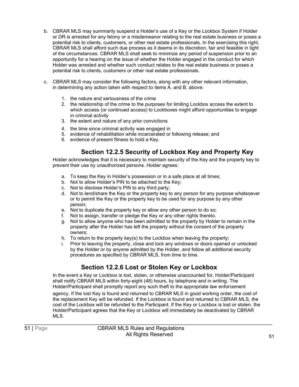- b. CBRAR MLS may summarily suspend a Holder's use of a Key or the Lockbox System if Holder or DR is arrested for any felony or a misdemeanor relating to the real estate business or poses a potential risk to clients, customers, or other real estate professionals. In the exercising this right, CBRAR MLS shall afford such due process as it deems in its discretion, fair and feasible in light of the circumstances. CBRAR MLS shall seek to minimize any period of suspension prior to an opportunity for a hearing on the issue of whether the Holder engaged in the conduct for which Holder was arrested and whether such conduct relates to the real estate business or poses a potential risk to clients, customers or other real estate professionals.
- c. CBRAR MLS may consider the following factors, along with any other relevant information, in determining any action taken with respect to items A. and B. above:
	- 1. the nature and seriousness of the crime
	- 2. the relationship of the crime to the purposes for limiting Lockbox access the extent to which access (or continued access) to Lockboxes might afford opportunities to engage in criminal activity
	- 3. the extent and nature of any prior convictions
	- 4. the time since criminal activity was engaged in
	- 5. evidence of rehabilitation while incarcerated or following release; and
	- 6. evidence of present fitness to hold a Key.

#### **Section 12.2.5 Security of Lockbox Key and Property Key**

Holder acknowledges that it is necessary to maintain security of the Key and the property key to prevent their use by unauthorized persons. Holder agrees:

- a. To keep the Key in Holder's possession or in a safe place at all times;
- b. Not to allow Holder's PIN to be attached to the Key;
- c. Not to disclose Holder's PIN to any third party;
- d. Not to lend/share the Key or the property key to any person for any purpose whatsoever or to permit the Key or the property key to be used for any purpose by any other person;
- e. Not to duplicate the property key or allow any other person to do so;
- f. Not to assign, transfer or pledge the Key or any other rights thereto.
- g. Not to allow anyone who has been admitted to the property by Holder to remain in the property after the Holder has left the property without the consent of the property owners;
- h. To return to the property key(s) to the Lockbox when leaving the property;
- i. Prior to leaving the property, close and lock any windows or doors opened or unlocked by the Holder or by anyone admitted by the Holder, and follow all additional security procedures as specified by CBRAR MLS, from time to time.

#### **Section 12.2.6 Lost or Stolen Key or Lockbox**

In the event a Key or Lockbox is lost, stolen, or otherwise unaccounted for, Holder/Participant shall notify CBRAR MLS within forty-eight (48) hours, by telephone and in writing. The Holder/Participant shall promptly report any such theft to the appropriate law enforcement

agency. If the lost Key is found and returned to CBRAR MLS in good working order, the cost of the replacement Key will be refunded. If the Lockbox is found and returned to CBRAR MLS, the cost of the Lockbox will be refunded to the Participant. If the Key or Lockbox is lost or stolen, the Holder/Participant agrees that the Key or Lockbox will immediately be deactivated by CBRAR MLS.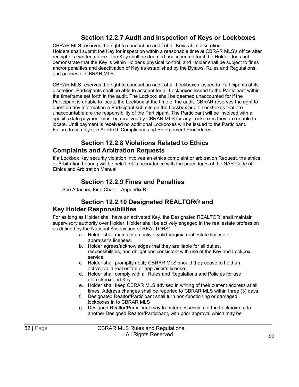#### **Section 12.2.7 Audit and Inspection of Keys or Lockboxes**

CBRAR MLS reserves the right to conduct an audit of all Keys at its discretion. Holders shall submit the Key for inspection within a reasonable time at CBRAR MLS's office after receipt of a written notice. The Key shall be deemed unaccounted for if the Holder does not demonstrate that the Key is within Holder's physical control, and Holder shall be subject to fines and/or penalties and deactivation of Key as established by the Bylaws, Rules and Regulations, and policies of CBRAR MLS.

CBRAR MLS reserves the right to conduct an audit of all Lockboxes issued to Participants at its discretion. Participants shall be able to account for all Lockboxes issued to the Participant within the timeframe set forth in the audit. The Lockbox shall be deemed unaccounted for if the Participant is unable to locate the Lockbox at the time of the audit. CBRAR reserves the right to question any information a Participant submits on the Lockbox audit. Lockboxes that are unaccountable are the responsibility of the Participant. The Participant will be invoiced with a specific date payment must be received by CBRAR MLS for any Lockboxes they are unable to locate. Until payment is received no additional Lockboxes will be issued to the Participant. Failure to comply see Article 9: Compliance and Enforcement Procedures.

#### **Section 12.2.8 Violations Related to Ethics Complaints and Arbitration Requests**

If a Lockbox Key security violation involves an ethics complaint or arbitration Request, the ethics or Arbitration hearing will be held first in accordance with the procedures of the NAR Code of Ethics and Arbitration Manual.

#### **Section 12.2.9 Fines and Penalties**

See Attached Fine Chart – Appendix B

#### **Section 12.2.10 Designated REALTOR® and Key Holder Responsibilities**

For as long as Holder shall have an activated Key, the Designated REALTOR® shall maintain supervisory authority over Holder. Holder shall be actively engaged in the real estate profession as defined by the National Association of REALTORS<sup>®</sup>.

- a. Holder shall maintain an active, valid Virginia real estate license or appraiser's licenses.
- b. Holder agrees/acknowledges that they are liable for all duties, responsibilities, and obligations consistent with use of the Key and Lockbox service.
- c. Holder shall promptly notify CBRAR MLS should they cease to hold an active, valid real estate or appraiser's license.
- d. Holder shall comply with all Rules and Regulations and Policies for use of Lockbox and Key.
- e. Holder shall keep CBRAR MLS advised in writing of their current address at all times. Address changes shall be reported to CBRAR MLS within three (3) days.
- f. Designated Realtor/Participant shall turn non-functioning or damaged lockboxes in to CBRAR MLS
- g. Designed Realtor/Participant may transfer possession of the Lockbox(es) to another Designed Realtor/Participant, with prior approval which may be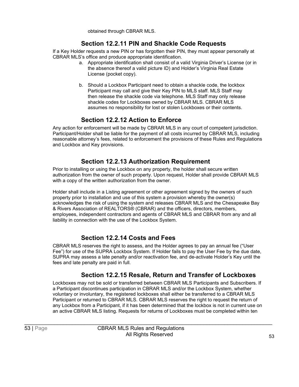obtained through CBRAR MLS.

#### **Section 12.2.11 PIN and Shackle Code Requests**

If a Key Holder requests a new PIN or has forgotten their PIN, they must appear personally at CBRAR MLS's office and produce appropriate identification.

- a. Appropriate identification shall consist of a valid Virginia Driver's License (or in the absence thereof a valid picture ID) and Holder's Virginia Real Estate License (pocket copy).
- b. Should a Lockbox Participant need to obtain a shackle code, the lockbox Participant may call and give their Key PIN to MLS staff. MLS Staff may then release the shackle code via telephone. MLS Staff may only release shackle codes for Lockboxes owned by CBRAR MLS. CBRAR MLS assumes no responsibility for lost or stolen Lockboxes or their contents.

#### **Section 12.2.12 Action to Enforce**

Any action for enforcement will be made by CBRAR MLS in any court of competent jurisdiction. Participant/Holder shall be liable for the payment of all costs incurred by CBRAR MLS, including reasonable attorney's fees, related to enforcement the provisions of these Rules and Regulations and Lockbox and Key provisions.

#### **Section 12.2.13 Authorization Requirement**

Prior to installing or using the Lockbox on any property, the holder shall secure written authorization from the owner of such property. Upon request, Holder shall provide CBRAR MLS with a copy of the written authorization from the owner.

Holder shall include in a Listing agreement or other agreement signed by the owners of such property prior to installation and use of this system a provision whereby the owner(s) acknowledges the risk of using the system and releases CBRAR MLS and the Chesapeake Bay & Rivers Association of REALTORS® (CBRAR) and the officers, directors, members, employees, independent contractors and agents of CBRAR MLS and CBRAR from any and all liability in connection with the use of the Lockbox System.

#### **Section 12.2.14 Costs and Fees**

CBRAR MLS reserves the right to assess, and the Holder agrees to pay an annual fee ("User Fee") for use of the SUPRA Lockbox System. If Holder fails to pay the User Fee by the due date, SUPRA may assess a late penalty and/or reactivation fee, and de-activate Holder's Key until the fees and late penalty are paid in full.

#### **Section 12.2.15 Resale, Return and Transfer of Lockboxes**

Lockboxes may not be sold or transferred between CBRAR MLS Participants and Subscribers. If a Participant discontinues participation in CBRAR MLS and/or the Lockbox System, whether voluntary or involuntary, the registered lockboxes shall either be transferred to a CBRAR MLS Participant or returned to CBRAR MLS. CBRAR MLS reserves the right to request the return of any Lockbox from a Participant, if it has been determined that the lockbox is not in current use on an active CBRAR MLS listing. Requests for returns of Lockboxes must be completed within ten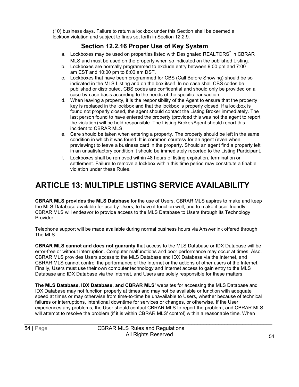(10) business days. Failure to return a lockbox under this Section shall be deemed a lockbox violation and subject to fines set forth in Section 12.2.9.

#### **Section 12.2.16 Proper Use of Key System**

- a. Lockboxes may be used on properties listed with Designated REALTORS® in CBRAR MLS and must be used on the property when so indicated on the published Listing.
- b. Lockboxes are normally programmed to exclude entry between 9:00 pm and 7:00 am EST and 10:00 pm to 8:00 am DST.
- c. Lockboxes that have been programmed for CBS (Call Before Showing) should be so indicated in the MLS Listing and on the box itself. In no case shall CBS codes be published or distributed. CBS codes are confidential and should only be provided on a case-by-case basis according to the needs of the specific transaction.
- d. When leaving a property, it is the responsibility of the Agent to ensure that the property key is replaced in the lockbox and that the lockbox is properly closed. If a lockbox is found not properly closed, the agent should contact the Listing Broker immediately. The last person found to have entered the property (provided this was not the agent to report the violation) will be held responsible. The Listing Broker/Agent should report this incident to CBRAR MLS.
- e. Care should be taken when entering a property. The property should be left in the same condition in which it was found. It is common courtesy for an agent (even when previewing) to leave a business card in the property. Should an agent find a property left in an unsatisfactory condition it should be immediately reported to the Listing Participant.
- f. Lockboxes shall be removed within 48 hours of listing expiration, termination or settlement. Failure to remove a lockbox within this time period may constitute a finable violation under these Rules.

# **ARTICLE 13: MULTIPLE LISTING SERVICE AVAILABILITY**

**CBRAR MLS provides the MLS Database** for the use of Users. CBRAR MLS aspires to make and keep the MLS Database available for use by Users, to have it function well, and to make it user-friendly. CBRAR MLS will endeavor to provide access to the MLS Database to Users through its Technology Provider.

Telephone support will be made available during normal business hours via Answerlink offered through The MLS.

**CBRAR MLS cannot and does not guaranty** that access to the MLS Database or IDX Database will be error-free or without interruption. Computer malfunctions and poor performance may occur at times. Also, CBRAR MLS provides Users access to the MLS Database and IDX Database via the Internet, and CBRAR MLS cannot control the performance of the Internet or the actions of other users of the Internet. Finally, Users must use their own computer technology and Internet access to gain entry to the MLS Database and IDX Database via the Internet, and Users are solely responsible for these matters.

**The MLS Database, IDX Database, and CBRAR MLS'** websites for accessing the MLS Database and IDX Database may not function properly at times and may not be available or function with adequate speed at times or may otherwise from time-to-time be unavailable to Users, whether because of technical failures or interruptions, intentional downtime for services or changes, or otherwise. If the User experiences any problems, the User should contact CBRAR MLS to report the problem, and CBRAR MLS will attempt to resolve the problem (if it is within CBRAR MLS' control) within a reasonable time. When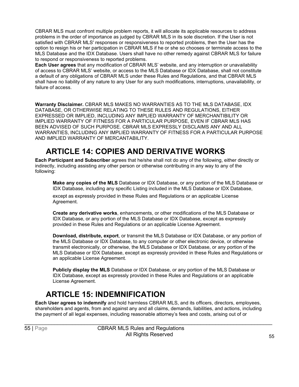CBRAR MLS must confront multiple problem reports, it will allocate its applicable resources to address problems in the order of importance as judged by CBRAR MLS in its sole discretion. If the User is not satisfied with CBRAR MLS' responses or responsiveness to reported problems, then the User has the option to resign his or her participation in CBRAR MLS if he or she so chooses or terminate access to the MLS Database and the IDX Database. Users shall have no other remedy against CBRAR MLS for failure to respond or responsiveness to reported problems.

**Each User agrees** that any modification of CBRAR MLS' website, and any interruption or unavailability of access to CBRAR MLS' website, or access to the MLS Database or IDX Database, shall not constitute a default of any obligations of CBRAR MLS under these Rules and Regulations, and that CBRAR MLS shall have no liability of any nature to any User for any such modifications, interruptions, unavailability, or failure of access.

**Warranty Disclaimer.** CBRAR MLS MAKES NO WARRANTIES AS TO THE MLS DATABASE, IDX DATABASE, OR OTHERWISE RELATING TO THESE RULES AND REGULATIONS, EITHER EXPRESSED OR IMPLIED, INCLUDING ANY IMPLIED WARRANTY OF MERCHANTIBILITY OR IMPLIED WARRANTY OF FITNESS FOR A PARTICULAR PURPOSE, EVEN IF CBRAR MLS HAS BEEN ADVISED OF SUCH PURPOSE. CBRAR MLS EXPRESSLY DISCLAIMS ANY AND ALL WARRANTIES, INCLUDING ANY IMPLIED WARRANTY OF FITNESS FOR A PARTICULAR PURPOSE AND IMPLIED WARRANTY OF MERCANTABILITY.

# **ARTICLE 14: COPIES AND DERIVATIVE WORKS**

<span id="page-58-0"></span>**Each Participant and Subscriber** agrees that he/she shall not do any of the following, either directly or indirectly, including assisting any other person or otherwise contributing in any way to any of the following:

**Make any copies of the MLS** Database or IDX Database, or any portion of the MLS Database or IDX Database, including any specific Listing included in the MLS Database or IDX Database,

except as expressly provided in these Rules and Regulations or an applicable License Agreement.

**Create any derivative works**, enhancements, or other modifications of the MLS Database or IDX Database, or any portion of the MLS Database or IDX Database, except as expressly provided in these Rules and Regulations or an applicable License Agreement.

**Download, distribute, export**, or transmit the MLS Database or IDX Database, or any portion of the MLS Database or IDX Database, to any computer or other electronic device, or otherwise transmit electronically, or otherwise, the MLS Database or IDX Database, or any portion of the MLS Database or IDX Database, except as expressly provided in these Rules and Regulations or an applicable License Agreement.

**Publicly display the MLS** Database or IDX Database, or any portion of the MLS Database or IDX Database, except as expressly provided in these Rules and Regulations or an applicable License Agreement.

# **ARTICLE 15: INDEMNIFICATION**

<span id="page-58-1"></span>**Each User agrees to indemnify** and hold harmless CBRAR MLS, and its officers, directors, employees, shareholders and agents, from and against any and all claims, demands, liabilities, and actions, including the payment of all legal expenses, including reasonable attorney's fees and costs, arising out of or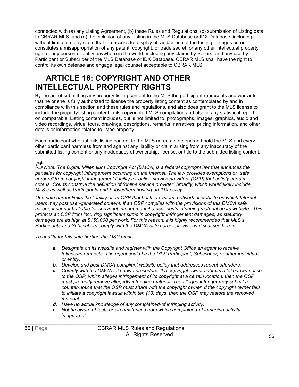connected with (a) any Listing Agreement, (b) these Rules and Regulations, (c) submission of Listing data to CBRAR MLS, and (d) the inclusion of any Listing in the MLS Database or IDX Database, including, without limitation, any claim that the access to, display of, and/or use of the Listing infringes on or constitutes a misappropriation of any patent, copyright, or trade secret, or any other intellectual property right of any person or entity anywhere in the world, including any claims by Sellers, and any use by Participant or Subscriber of the MLS Database or IDX Database. CBRAR MLS shall have the right to control its own defense and engage legal counsel acceptable to CBRAR MLS.

# <span id="page-59-0"></span>**ARTICLE 16: COPYRIGHT AND OTHER INTELLECTUAL PROPERTY RIGHTS**

By the act of submitting any property listing content to the MLS the participant represents and warrants that he or she is fully authorized to license the property listing content as contemplated by and in compliance with this section and these rules and regulations, and also does grant to the MLS license to include the property listing content in its copyrighted MLS compilation and also in any statistical report on comparable. Listing content includes, but is not limited to, photographs, images, graphics, audio and video recordings, virtual tours, drawings, descriptions, remarks, narratives, pricing information, and other details or information related to listed property.

Each participant who submits listing content to the MLS agrees to defend and hold the MLS and every other participant harmless from and against any liability or claim arising from any inaccuracy of the submitted listing content or any inadequacy of ownership, license, or title to the submitted listing content.

*Note: The Digital Millennium Copyright Act (DMCA) is a federal copyright law that enhances the penalties for copyright infringement occurring on the Internet. The law provides exemptions or "safe harbors" from copyright infringement liability for online service providers (OSP) that satisfy certain criteria. Courts construe the definition of "online service provider" broadly, which would likely include MLS's as well as Participants and Subscribers hosting an IDX policy.*

*One safe harbor limits the liability of an OSP that hosts a system, network or website on which Internet users may post user-generated content. If an OSP complies with the provisions of this DMCA safe harbor, it cannot be liable for copyright infringement if a user posts infringing material on its website. This protects an OSP from incurring significant sums in copyright infringement damages, as statutory damages are as high at \$150,000 per work. For this reason, it is highly recommended that MLS's Participants and Subscribers comply with the DMCA safe harbor provisions discussed herein.*

*To qualify for this safe harbor, the OSP must:*

- *a. Designate on its website and register with the Copyright Office an agent to receive takedown requests. The agent could be the MLS Participant, Subscriber, or other individual or entity.*
- *b. Develop and post DMCA-compliant website policy that addresses repeat offenders.*
- *c. Comply with the DMCA takedown procedure. If a copyright owner submits a takedown notice to the OSP, which alleges infringement of its copyright at a certain location, then the OSP must promptly remove allegedly infringing material. The alleged infringer may submit a counter-notice that the OSP must share with the copyright owner. If the copyright owner fails to initiate a copyright lawsuit within ten (10) days, then the OSP may restore the removed material.*
- *d. Have no actual knowledge of any complained-of infringing activity.*
- *e. Not be aware of facts or circumstances from which complained-of infringing activity is apparent.*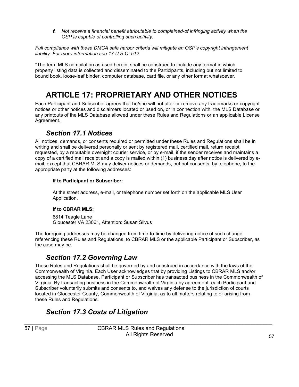*f. Not receive a financial benefit attributable to complained-of infringing activity when the OSP is capable of controlling such activity.*

*Full compliance with these DMCA safe harbor criteria will mitigate an OSP's copyright infringement liability. For more information see 17 U.S.C. 512.*

\*The term MLS compilation as used herein, shall be construed to include any format in which property listing data is collected and disseminated to the Participants, including but not limited to bound book, loose-leaf binder, computer database, card file, or any other format whatsoever.

# **ARTICLE 17: PROPRIETARY AND OTHER NOTICES**

<span id="page-60-0"></span>Each Participant and Subscriber agrees that he/she will not alter or remove any trademarks or copyright notices or other notices and disclaimers located or used on, or in connection with, the MLS Database or any printouts of the MLS Database allowed under these Rules and Regulations or an applicable License Agreement.

#### *Section 17.1 Notices*

<span id="page-60-1"></span>All notices, demands, or consents required or permitted under these Rules and Regulations shall be in writing and shall be delivered personally or sent by registered mail, certified mail, return receipt requested, by a reputable overnight courier service, or by e-mail, if the sender receives and maintains a copy of a certified mail receipt and a copy is mailed within (1) business day after notice is delivered by email, except that CBRAR MLS may deliver notices or demands, but not consents, by telephone, to the appropriate party at the following addresses:

#### **If to Participant or Subscriber:**

At the street address, e-mail, or telephone number set forth on the applicable MLS User Application.

#### **If to CBRAR MLS:**

6814 Teagle Lane Gloucester VA 23061, Attention: Susan Silvus

The foregoing addresses may be changed from time-to-time by delivering notice of such change, referencing these Rules and Regulations, to CBRAR MLS or the applicable Participant or Subscriber, as the case may be.

#### *Section 17.2 Governing Law*

<span id="page-60-2"></span>These Rules and Regulations shall be governed by and construed in accordance with the laws of the Commonwealth of Virginia. Each User acknowledges that by providing Listings to CBRAR MLS and/or accessing the MLS Database, Participant or Subscriber has transacted business in the Commonwealth of Virginia. By transacting business in the Commonwealth of Virginia by agreement, each Participant and Subscriber voluntarily submits and consents to, and waives any defense to the jurisdiction of courts located in Gloucester County, Commonwealth of Virginia, as to all matters relating to or arising from these Rules and Regulations.

#### <span id="page-60-3"></span>*Section 17.3 Costs of Litigation*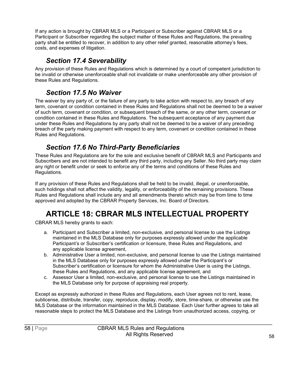If any action is brought by CBRAR MLS or a Participant or Subscriber against CBRAR MLS or a Participant or Subscriber regarding the subject matter of these Rules and Regulations, the prevailing party shall be entitled to recover, in addition to any other relief granted, reasonable attorney's fees, costs, and expenses of litigation.

#### *Section 17.4 Severability*

<span id="page-61-0"></span>Any provision of these Rules and Regulations which is determined by a court of competent jurisdiction to be invalid or otherwise unenforceable shall not invalidate or make unenforceable any other provision of these Rules and Regulations.

#### *Section 17.5 No Waiver*

<span id="page-61-1"></span>The waiver by any party of, or the failure of any party to take action with respect to, any breach of any term, covenant or condition contained in these Rules and Regulations shall not be deemed to be a waiver of such term, covenant or condition, or subsequent breach of the same, or any other term, covenant or condition contained in these Rules and Regulations. The subsequent acceptance of any payment due under these Rules and Regulations by any party shall not be deemed to be a waiver of any preceding breach of the party making payment with respect to any term, covenant or condition contained in these Rules and Regulations.

#### *Section 17.6 No Third-Party Beneficiaries*

<span id="page-61-2"></span>These Rules and Regulations are for the sole and exclusive benefit of CBRAR MLS and Participants and Subscribers and are not intended to benefit any third party, including any Seller. No third party may claim any right or benefit under or seek to enforce any of the terms and conditions of these Rules and Regulations.

If any provision of these Rules and Regulations shall be held to be invalid, illegal, or unenforceable, such holdings shall not affect the validity, legality, or enforceability of the remaining provisions. These Rules and Regulations shall include any and all amendments thereto which may be from time to time approved and adopted by the CBRAR Property Services, Inc. Board of Directors.

# **ARTICLE 18: CBRAR MLS INTELLECTUAL PROPERTY**

<span id="page-61-3"></span>CBRAR MLS hereby grants to each:

- a. Participant and Subscriber a limited, non-exclusive, and personal license to use the Listings maintained in the MLS Database only for purposes expressly allowed under the applicable Participant's or Subscriber's certification or licensure, these Rules and Regulations, and any applicable license agreement,
- b. Administrative User a limited, non-exclusive, and personal license to use the Listings maintained in the MLS Database only for purposes expressly allowed under the Participant's or Subscriber's certification or licensure for whom the Administrative User is using the Listings, these Rules and Regulations, and any applicable license agreement, and
- c. Assessor User a limited, non-exclusive, and personal license to use the Listings maintained in the MLS Database only for purpose of appraising real property.

Except as expressly authorized in these Rules and Regulations, each User agrees not to rent, lease, sublicense, distribute, transfer, copy, reproduce, display, modify, store, time-share, or otherwise use the MLS Database or the information maintained in the MLS Database. Each User further agrees to take all reasonable steps to protect the MLS Database and the Listings from unauthorized access, copying, or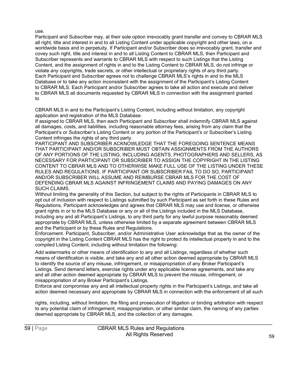#### use.

Participant and Subscriber may, at their sole option irrevocably grant transfer and convey to CBRAR MLS all right, title and interest in and to all Listing Content under applicable copyright and other laws, on a worldwide basis and in perpetuity. If Participant and/or Subscriber does so irrevocably grant, transfer and covey such right, title and interest in and to all Listing Content to CBRAR MLS, then Participant and Subscriber represents and warrants to CBRAR MLS with respect to such Listings that the Listing Content, and the assignment of rights in and to the Listing Content to CBRAR MLS, do not infringe or violate any copyrights, trade secrets, or other intellectual or proprietary rights of any third party. Each Participant and Subscriber agrees not to challenge CBRAR MLS's rights in and to the MLS Database or to take any action inconsistent with the assignment of the Participant's Listing Content to CBRAR MLS. Each Participant and/or Subscriber agrees to take all action and execute and deliver to CBRAR MLS all documents requested by CBRAR MLS in connection with the assignment granted to

CBRAR MLS in and to the Participant's Listing Content, including without limitation, any copyright application and registration of the MLS Database.

If assigned to CBRAR MLS, then each Participant and Subscriber shall indemnify CBRAR MLS against all damages, costs, and liabilities, including reasonable attorney fees, arising from any claim that the Participant's or Subscriber's Listing Content or any portion of the Participant's or Subscriber's Listing Content infringes the rights of any third party.

PARTICIPANT AND SUBSCRIBER ACKNOWLEDGE THAT THE FOREGOING SENTENCE MEANS THAT PARTICIPANT AND/OR SUBSCRIBER MUST OBTAIN ASSIGNMENTS FROM THE AUTHORS OF ANY PORTIONS OF THE LISTING, INCLUDING AGENTS, PHOTOGRAPHERS AND SELLERS, AS NECESSARY FOR PARTICIPANT OR SUBSCRIBER TO ASSIGN THE COPYRIGHT IN THE LISTING CONTENT TO CBRAR MLS AND TO OTHERWISE MAKE FULL USE OF THE LISTING UNDER THESE RULES AND REGULATIONS. IF PARTICIPANT OR SUBSCRIBER FAIL TO DO SO, PARTICIPANT AND/OR SUBSCRIBER WILL ASSUME AND REIMBURSE CBRAR MLS FOR THE COST OF DEFENDING CBRAR MLS AGAINST INFRINGEMENT CLAIMS AND PAYING DAMAGES ON ANY SUCH CLAIMS.

Without limiting the generality of this Section, but subject to the rights of Participants in CBRAR MLS to opt out of inclusion with respect to Listings submitted by such Participant as set forth in these Rules and Regulations, Participant acknowledges and agrees that CBRAR MLS may use and license, or otherwise grant rights in or to the MLS Database or any or all of the Listings included in the MLS Database, including any and all Participant's Listings, to any third party for any lawful purpose reasonably deemed appropriate by CBRAR MLS, unless otherwise limited by a separate agreement between CBRAR MLS and the Participant or by these Rules and Regulations.

Enforcement. Participant, Subscriber, and/or Administrative User acknowledge that as the owner of the copyright in the Listing Content CBRAR MLS has the right to protect its intellectual property in and to the compiled Listing Content, including without limitation the following:

Add watermarks or other means of identification to any and all Listings, regardless of whether such means of identification is visible, and take any and all other action deemed appropriate by CBRAR MLS to identify the source of any misuse, infringement, or misappropriation of any Broker Participant's Listings. Send demand letters, exercise rights under any applicable license agreements, and take any and all other action deemed appropriate by CBRAR MLS to prevent the misuse, infringement, or misappropriation of any Broker Participant's Listings.

Enforce and compromise any and all intellectual property rights in the Participant's Listings, and take all action deemed necessary and appropriate by CBRAR MLS in connection with the enforcement of all such

rights, including, without limitation, the filing and prosecution of litigation or binding arbitration with respect to any potential claim of infringement, misappropriation, or other similar claim, the naming of any parties deemed appropriate by CBRAR MLS, and the collection of any damages.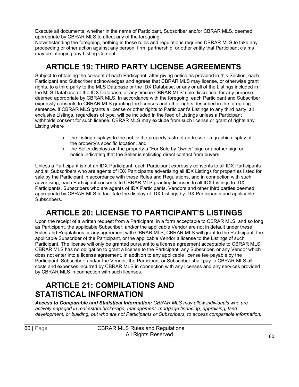Execute all documents, whether in the name of Participant, Subscriber and/or CBRAR MLS, deemed appropriate by CBRAR MLS to affect any of the foregoing.

Notwithstanding the foregoing, nothing in these rules and regulations requires CBRAR MLS to take any proceeding or other action against any person, firm, partnership, or other entity that Participant claims may be infringing any Listing Content.

# **ARTICLE 19: THIRD PARTY LICENSE AGREEMENTS**

<span id="page-63-0"></span>Subject to obtaining the consent of each Participant, after giving notice as provided in this Section, each Participant and Subscriber acknowledges and agrees that CBRAR MLS may license, or otherwise grant rights, to a third party to the MLS Database or the IDX Database, or any or all of the Listings included in the MLS Database or the IDX Database, at any time in CBRAR MLS' sole discretion, for any purpose deemed appropriate by CBRAR MLS. In accordance with the foregoing, each Participant and Subscriber expressly consents to CBRAR MLS granting the licenses and other rights described in the foregoing sentence. If CBRAR MLS grants a license or other rights to Participant's Listings to any third party, all exclusive Listings, regardless of type, will be included in the feed of Listings unless a Participant withholds consent for such license. CBRAR MLS may exclude from such license or grant of rights any Listing where

- a. the Listing displays to the public the property's street address or a graphic display of the property's specific location, and
- b. the Seller displays on the property a "For Sale by Owner" sign or another sign or notice indicating that the Seller is soliciting direct contact from buyers.

Unless a Participant is not an IDX Participant, each Participant expressly consents to all IDX Participants and all Subscribers who are agents of IDX Participants advertising all IDX Listings for properties listed for sale by the Participant in accordance with these Rules and Regulations, and in connection with such advertising, each Participant consents to CBRAR MLS granting licenses to all IDX Listings to IDX Participants, Subscribers who are agents of IDX Participants, Vendors and other third parties deemed appropriate by CBRAR MLS to facilitate the display of IDX Listings by IDX Participants and applicable Subscribers.

# **ARTICLE 20: LICENSE TO PARTICIPANT'S LISTINGS**

<span id="page-63-1"></span>Upon the receipt of a written request from a Participant, in a form acceptable to CBRAR MLS, and so long as Participant, the applicable Subscriber, and/or the applicable Vendor are not in default under these Rules and Regulations or any agreement with CBRAR MLS, CBRAR MLS will grant to the Participant, the applicable Subscriber of the Participant, or the applicable Vendor a license to the Listings of such Participant. The license will only be granted pursuant to a license agreement acceptable to CBRAR MLS. CBRAR MLS has no obligation to grant a license to the Participant, any Subscriber, or any Vendor which does not enter into a license agreement. In addition to any applicable license fee payable by the Participant, Subscriber, and/or the Vendor, the Participant or Subscriber shall pay to CBRAR MLS all costs and expenses incurred by CBRAR MLS in connection with any licenses and any services provided by CBRAR MLS in connection with such licenses.

# <span id="page-63-2"></span>**ARTICLE 21: COMPILATIONS AND STATISTICAL INFORMATION**

*Access to Comparable and Statistical Information: CBRAR MLS may allow individuals who are actively engaged in real estate brokerage, management, mortgage financing, appraising, land development, or building, but who are not Participants or Subscribers, to access comparable information,*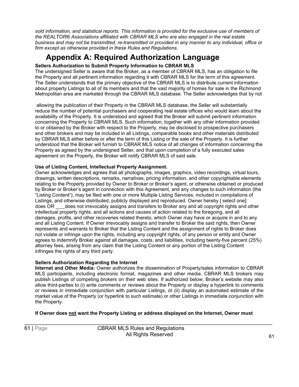*sold information, and statistical reports. This information is provided for the exclusive use of members of the REALTOR® Associations affiliated with CBRAR MLS who are also engaged in the real estate business and may not be transmitted, re-transmitted or provided in any manner to any individual, office or firm except as otherwise provided in these Rules and Regulations.*

# **Appendix A: Required Authorization Language**

#### <span id="page-64-0"></span>**Sellers Authorization to Submit Property Information to CBRAR MLS**

The undersigned Seller is aware that the Broker, as a member of CBRAR MLS, has an obligation to file the Property and all pertinent information regarding it with CBRAR MLS for the term of this agreement. The Seller understands that the primary objective of the CBRAR MLS is to distribute current information about property Listings to all of its members and that the vast majority of homes for sale in the Richmond Metropolitan area are marketed through the CBRAR MLS database. The Seller acknowledges that by not

allowing the publication of their Property in the CBRAR MLS database, the Seller will substantially reduce the number of potential purchasers and cooperating real estate offices who would learn about the availability of the Property. It is understood and agreed that the Broker will submit pertinent information concerning the Property to CBRAR MLS. Such information, together with any other information provided to or obtained by the Broker with respect to the Property, may be disclosed to prospective purchasers and other brokers and may be included in all Listings, comparable books and other materials distributed by CBRAR MLS either before or after the term of this Listing or the sale of the Property. It is further understood that the Broker will furnish to CBRAR MLS notice of all changes of information concerning the Property as agreed by the undersigned Seller, and that upon completion of a fully executed sales agreement on the Property, the Broker will notify CBRAR MLS of said sale.

#### **Use of Listing Content, Intellectual Property Assignment.**

Owner acknowledges and agrees that all photographs, images, graphics, video recordings, virtual tours, drawings, written descriptions, remarks, narratives, pricing information, and other copyrightable elements relating to the Property provided by Owner to Broker or Broker's agent, or otherwise obtained or produced by Broker or Broker's agent in connection with this Agreement, and any changes to such information (the "Listing Content"), may be filed with one or more Multiple Listing Services, included in compilations of Listings, and otherwise distributed, publicly displayed and reproduced. Owner hereby [ select one]: does OR \_ does not irrevocably assigns and transfers to Broker any and all copyright rights and other intellectual property rights, and all actions and causes of action related to the foregoing, and all damages, profits, and other recoveries related thereto, which Owner may have or acquire in and to any and all Listing Content. If Owner irrevocably assigns and transfer to Broker the said rights, then Owner represents and warrants to Broker that the Listing Content and the assignment of rights to Broker does not violate or infringe upon the rights, including any copyright rights, of any person or entity and Owner agrees to indemnify Broker against all damages, costs, and liabilities, including twenty-five percent (25%) attorney fees, arising from any claim that the Listing Content or any portion of the Listing Content infringes the rights of any third party.

#### **Sellers Authorization Regarding the Internet**

**Internet and Other Media:** Owner authorizes the dissemination of Property/sales information to CBRAR MLS participants, including electronic format, magazines and other media. CBRAR MLS brokers may publish Listings of competing brokers on their web sites. If authorized below, Broker's website may also allow third-parties to (i) write comments or reviews about the Property or display a hyperlink to comments or reviews in immediate conjunction with particular Listings, or (ii) display an automated estimate of the market value of the Property (or hyperlink to such estimate) or other Listings in immediate conjunction with the Property.

#### **If Owner does not want the Property Listing or address displayed on the Internet, Owner must**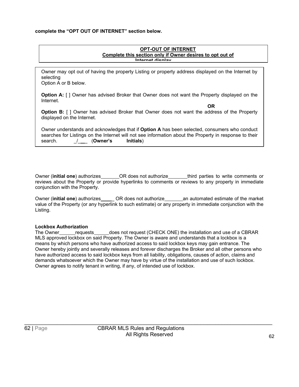#### **complete the "OPT OUT OF INTERNET" section below.**

#### **OPT-OUT OF INTERNET Complete this section only if Owner desires to opt out of Internet display**

Owner may opt out of having the property Listing or property address displayed on the Internet by selecting

Option A or B below.

**Option A:** [ ] Owner has advised Broker that Owner does not want the Property displayed on the Internet.

**OR**

**Option B:** [ ] Owner has advised Broker that Owner does not want the address of the Property displayed on the Internet.

|         |                 | Owner understands and acknowledges that if Option A has been selected, consumers who conduct           |  |  |
|---------|-----------------|--------------------------------------------------------------------------------------------------------|--|--|
|         |                 | searches for Listings on the Internet will not see information about the Property in response to their |  |  |
| search. | _/____ (Owner's | Initials)                                                                                              |  |  |

Owner (**initial one**) authorizes OR does not authorize third parties to write comments or reviews about the Property or provide hyperlinks to comments or reviews to any property in immediate conjunction with the Property.

Owner (**initial one**) authorizes \_\_\_\_\_ OR does not authorize \_\_\_\_\_\_ an automated estimate of the market value of the Property (or any hyperlink to such estimate) or any property in immediate conjunction with the Listing.

#### **Lockbox Authorization**

The Owner requests does not request (CHECK ONE) the installation and use of a CBRAR MLS approved lockbox on said Property. The Owner is aware and understands that a lockbox is a means by which persons who have authorized access to said lockbox keys may gain entrance. The Owner hereby jointly and severally releases and forever discharges the Broker and all other persons who have authorized access to said lockbox keys from all liability, obligations, causes of action, claims and demands whatsoever which the Owner may have by virtue of the installation and use of such lockbox. Owner agrees to notify tenant in writing, if any, of intended use of lockbox.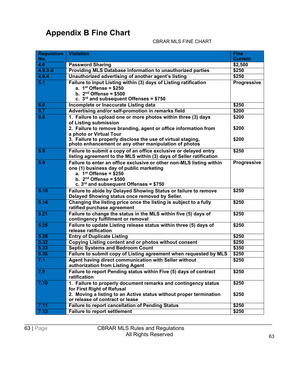# <span id="page-66-0"></span>**Appendix B Fine Chart**

#### CBRAR MLS FINE CHART

| <b>Regulation</b> | <b>Violation</b>                                                                                                                                                                                                        | <b>Fine</b>        |
|-------------------|-------------------------------------------------------------------------------------------------------------------------------------------------------------------------------------------------------------------------|--------------------|
| No.               |                                                                                                                                                                                                                         | <b>Current</b>     |
| 4.6               | <b>Password Sharing</b>                                                                                                                                                                                                 | \$2,500            |
| 4.9.3 d           | Providing MLS Database information to unauthorized parties                                                                                                                                                              | \$250              |
| 4.9.4             | Unauthorized advertising of another agent's listing                                                                                                                                                                     | \$250              |
| 5.1               | Failure to input Listing within (3) days of Listing ratification<br>a. $1st$ Offense = \$250<br>b. $2nd$ Offense = \$500<br>c. $3rd$ and subsequent Offenses = \$750                                                    | Progressive        |
| 5.6               | Incomplete or Inaccurate Listing data                                                                                                                                                                                   | \$250              |
| 5.7               | Advertising and/or self-promotion in remarks field                                                                                                                                                                      | \$200              |
| 5.8               | 1. Failure to upload one or more photos within three (3) days<br>of Listing submission                                                                                                                                  | \$200              |
|                   | 2. Failure to remove branding, agent or office information from<br>a photo or Virtual Tour<br>3. Failure to properly disclose the use of virtual staging,                                                               | \$200<br>\$200     |
|                   | photo enhancement or any other manipulation of photos                                                                                                                                                                   |                    |
| 5.9               | Failure to submit a copy of an office exclusive or delayed entry<br>listing agreement to the MLS within (3) days of Seller ratification                                                                                 | \$250              |
| 5.9               | Failure to enter an office exclusive or other non-MLS listing within<br>one (1) business day of public marketing<br>a. $1^{st}$ Offense = \$250<br>b. $2nd$ Offense = \$500<br>c. $3rd$ and subsequent Offenses = \$750 | <b>Progressive</b> |
| 5.10              | Failure to abide by Delayed Showing Status or failure to remove<br>Delayed Showing status once removed by Seller.                                                                                                       | \$250              |
| 5.14              | Changing the listing price once the listing is subject to a fully<br>ratified purchase agreement                                                                                                                        | \$250              |
| 5.21              | Failure to change the status in the MLS within five (5) days of<br>contingency fulfillment or removal                                                                                                                   | \$250              |
| 5.25              | Failure to update Listing release status within three (5) days of<br>release ratification                                                                                                                               | \$250              |
| 5.28              | <b>Entry of Duplicate Listing</b>                                                                                                                                                                                       | \$250              |
| 5.32              | Copying Listing content and or photos without consent                                                                                                                                                                   | \$250              |
| 5.33              | <b>Septic Systems and Bedroom Count</b>                                                                                                                                                                                 | \$350              |
| 5.35              | Failure to submit copy of Listing agreement when requested by MLS                                                                                                                                                       | \$250              |
| 7.1               | Agent having direct communication with Seller without<br>authorization from Listing Agent                                                                                                                               | \$250              |
| 7.9               | Failure to report Pending status within Five (5) days of contract<br>ratification                                                                                                                                       | \$250              |
| 7.10              | 1. Failure to properly document remarks and contingency status<br>for First Right of Refusal<br>2. Moving a listing to an Active status without proper termination                                                      | \$250<br>\$250     |
|                   | or release of contract or lease                                                                                                                                                                                         |                    |
| 7.11              | <b>Failure to report cancellation of Pending Status</b>                                                                                                                                                                 | \$250              |
| 7.12              | <b>Failure to report settlement</b>                                                                                                                                                                                     | \$250              |